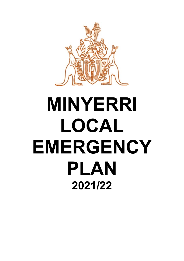

# **MINYERRI LOCAL EMERGENCY PLAN 2021/22**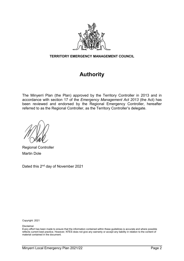

#### **TERRITORY EMERGENCY MANAGEMENT COUNCIL**

## **Authority**

The Minyerri Plan (the Plan) approved by the Territory Controller in 2013 and in accordance with section 17 of the *Emergency Management Act 2013* (the Act) has been reviewed and endorsed by the Regional Emergency Controller, hereafter referred to as the Regional Controller, as the Territory Controller's delegate.

Regional Controller Martin Dole

Dated this 2<sup>nd</sup> day of November 2021

Copyright: 2021

Disclaimer

Every effort has been made to ensure that the information contained within these guidelines is accurate and where possible reflects current best practice. However, NTES does not give any warranty or accept any liability in relation to the content of material contained in the document.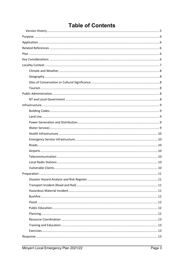## **Table of Contents**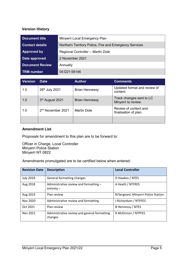#### <span id="page-4-0"></span>**Version History**

| <b>Document title</b>  | Minyerri Local Emergency Plan                          |
|------------------------|--------------------------------------------------------|
| <b>Contact details</b> | Northern Territory Police, Fire and Emergency Services |
| <b>Approved by</b>     | Regional Controller - Martin Dole                      |
| Date approved          | 2 November 2021                                        |
| <b>Document Review</b> | Annually                                               |
| <b>TRM</b> number      | 04:D21:58146                                           |

| <b>Version</b> | <b>Date</b>                   | Author                | <b>Comments</b>                                 |
|----------------|-------------------------------|-----------------------|-------------------------------------------------|
| 1.0            | 26th July 2021                | <b>Brian Hennessy</b> | Updated format and review of<br>content.        |
| 1.0            | 3rd August 2021               | <b>Brian Hennessy</b> | Track changes sent to LC<br>Minyerri to review. |
| 1.0            | 2 <sup>nd</sup> November 2021 | <b>Martin Dole</b>    | Review of content and<br>finalisation of plan.  |
|                |                               |                       |                                                 |

#### **Amendment List**

Proposals for amendment to this plan are to be forward to:

Officer in Charge, Local Controller Minyerri Police Station Minyerri NT 0822

Amendments promulgated are to be certified below when entered:

| <b>Revision Date</b> | <b>Description</b>                                      | <b>Local Controller</b>             |
|----------------------|---------------------------------------------------------|-------------------------------------|
| <b>July 2018</b>     | General formatting changes                              | D Hawkes / NTES                     |
| Aug 2018             | Administrative review and formatting -<br>entirety $-$  | A Heath / NTFRES                    |
| Aug 2019             | Plan review                                             | R/Sergeant, Minyerri Police Station |
| Nov 2020             | Administrative review and formatting                    | J Richardson / NTPFES               |
| Oct 2021             | Plan review                                             | B Hennessy / NTES                   |
| Nov 2021             | Administrative review and general formatting<br>changes | R McKinnon / NTPFES                 |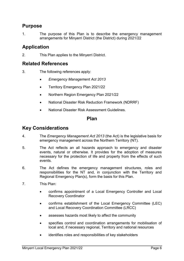## <span id="page-5-0"></span>**Purpose**

1. The purpose of this Plan is to describe the emergency management arrangements for Minyerri District (the District) during 2021/22

## <span id="page-5-1"></span>**Application**

2. This Plan applies to the Minyerri District.

## <span id="page-5-2"></span>**Related References**

- 3. The following references apply:
	- *Emergency Management Act 2013*
	- Territory Emergency Plan 2021/22
	- Northern Region Emergency Plan 2021/22
	- National Disaster Risk Reduction Framework (NDRRF)
	- National Disaster Risk Assessment Guidelines.

## **Plan**

## <span id="page-5-4"></span><span id="page-5-3"></span>**Key Considerations**

- 4. The *Emergency Management Act 2013* (the Act) is the legislative basis for emergency management across the Northern Territory (NT).
- 5. The Act reflects an all hazards approach to emergency and disaster events, natural or otherwise. It provides for the adoption of measures necessary for the protection of life and property from the effects of such events.
- 6. The Act defines the emergency management structures, roles and responsibilities for the NT and, in conjunction with the Territory and Regional Emergency Plan(s), form the basis for this Plan.
- 7. This Plan:
	- confirms appointment of a Local Emergency Controller and Local Recovery Coordinator
	- confirms establishment of the Local Emergency Committee (LEC) and Local Recovery Coordination Committee (LRCC)
	- assesses hazards most likely to affect the community
	- specifies control and coordination arrangements for mobilisation of local and, if necessary regional, Territory and national resources
	- identifies roles and responsibilities of key stakeholders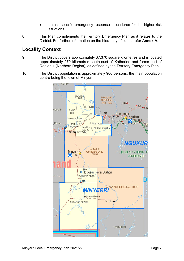- details specific emergency response procedures for the higher risk situations.
- 8. This Plan complements the Territory Emergency Plan as it relates to the District. For further information on the hierarchy of plans, refer **Annex A**.

## <span id="page-6-0"></span>**Locality Context**

- 9. The District covers approximately 37,370 square kilometres and is located approximately 270 kilometres south-east of Katherine and forms part of Region 1 (Northern Region), as defined by the Territory Emergency Plan.
- 10. The District population is approximately 900 persons, the main population centre being the town of Minyerri.

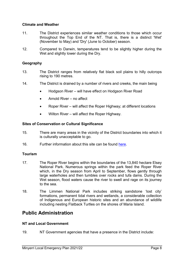#### <span id="page-7-0"></span>**Climate and Weather**

- 11. The District experiences similar weather conditions to those which occur throughout the Top End of the NT. That is, there is a distinct 'Wet' (November to May) and 'Dry' (June to October) season.
- 12. Compared to Darwin, temperatures tend to be slightly higher during the Wet and slightly lower during the Dry.

#### <span id="page-7-1"></span>**Geography**

- 13. The District ranges from relatively flat black soil plains to hilly outcrops rising to 190 metres.
- 14. The District is drained by a number of rivers and creeks, the main being
	- Hodgson River will have effect on Hodgson River Road
	- Arnold River no affect
	- Roper River will affect the Roper Highway; at different locations
	- Wilton River will affect the Roper Highway.

#### <span id="page-7-2"></span>**Sites of Conservation or Cultural Significance**

- 15. There are many areas in the vicinity of the District boundaries into which it is culturally unacceptable to go.
- 16. Further information about this site can be found [here.](https://nt.gov.au/environment/environment-data-maps/important-biodiversity-conservation-sites/conservation-significance-list)

#### <span id="page-7-3"></span>**Tourism**

- 17. The Roper River begins within the boundaries of the 13,840 hectare Elsey National Park. Numerous springs within the park feed the Roper River which, in the Dry season from April to September, flows gently through large waterholes and then tumbles over rocks and tufa dams. During the Wet season, flood waters cause the river to swell and rage on its journey to the sea.
- 18. The Limmen National Park includes striking sandstone 'lost city' formations, permanent tidal rivers and wetlands, a considerable collection of Indigenous and European historic sites and an abundance of wildlife including nesting Flatback Turtles on the shores of Maria Island.

## <span id="page-7-4"></span>**Public Administration**

#### <span id="page-7-5"></span>**NT and Local Government**

19. NT Government agencies that have a presence in the District include: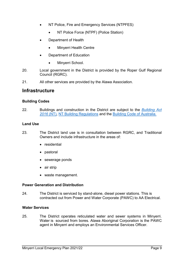- NT Police, Fire and Emergency Services (NTPFES)
	- NT Police Force (NTPF) (Police Station)
- Department of Health
	- Minyerri Health Centre
- Department of Education
	- Minyerri School.
- 20. Local government in the District is provided by the Roper Gulf Regional Council (RGRC).
- <span id="page-8-0"></span>21. All other services are provided by the Alawa Association.

## **Infrastructure**

#### <span id="page-8-1"></span>**Building Codes**

22. Buildings and construction in the District are subject to the *[Building Act](https://legislation.nt.gov.au/en/Legislation/BUILDING-ACT)  [2016](https://legislation.nt.gov.au/en/Legislation/BUILDING-ACT)* (NT), [NT Building Regulations](https://legislation.nt.gov.au/Legislation/BUILDING-REGULATIONS) and the [Building Code of Australia.](https://www.abcb.gov.au/NCC/About)

#### <span id="page-8-2"></span>**Land Use**

- 23. The District land use is in consultation between RGRC, and Traditional Owners and include infrastructure in the areas of:
	- residential
	- pastoral
	- sewerage ponds
	- air strip
	- waste management.

#### <span id="page-8-3"></span>**Power Generation and Distribution**

24. The District is serviced by stand-alone, diesel power stations. This is contracted out from Power and Water Corporate (PAWC) to AA Electrical.

#### <span id="page-8-4"></span>**Water Services**

25. The District operates reticulated water and sewer systems in Minyerri. Water is sourced from bores. Alawa Aboriginal Corporation is the PAWC agent in Minyerri and employs an Environmental Services Officer.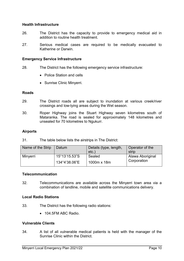#### <span id="page-9-0"></span>**Health Infrastructure**

- 26. The District has the capacity to provide to emergency medical aid in addition to routine health treatment.
- 27. Serious medical cases are required to be medically evacuated to Katherine or Darwin.

#### <span id="page-9-1"></span>**Emergency Service Infrastructure**

- 28. The District has the following emergency service infrastructure:
	- Police Station and cells
	- Sunrise Clinic Minyerri.

#### <span id="page-9-2"></span>**Roads**

- 29. The District roads all are subject to inundation at various creek/river crossings and low-lying areas during the Wet season.
- 30. Roper Highway joins the Stuart Highway seven kilometres south of Mataranka. The road is sealed for approximately 148 kilometres and unsealed for 70 kilometres to Ngukurr.

#### <span id="page-9-3"></span>**Airports**

31. The table below lists the airstrips in The District:

| Name of the Strip | Datum         | Details (type, length, | Operator of the  |  |  |
|-------------------|---------------|------------------------|------------------|--|--|
|                   |               | $etc.$ )               | strip            |  |  |
| Minyerri          | 15°13'15.53"S | Sealed                 | Alawa Aboriginal |  |  |
|                   | 134°4'38.06"E | 1000m x 18m            | Corporation      |  |  |

#### <span id="page-9-4"></span>**Telecommunication**

32. Telecommunications are available across the Minyerri town area via a combination of landline, mobile and satellite communications delivery.

#### <span id="page-9-5"></span>**Local Radio Stations**

- 33. The District has the following radio stations:
	- 104 5FM ABC Radio

#### <span id="page-9-6"></span>**Vulnerable Clients**

34. A list of all vulnerable medical patients is held with the manager of the Sunrise Clinic within the District.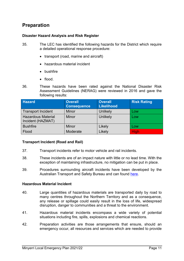## <span id="page-10-0"></span>**Preparation**

#### <span id="page-10-1"></span>**Disaster Hazard Analysis and Risk Register**

- 35. The LEC has identified the following hazards for the District which require a detailed operational response procedure:
	- transport (road, marine and aircraft)
	- hazardous material incident
	- bushfire
	- flood.
- 36. These hazards have been rated against the National Disaster Risk Assessment Guidelines (NERAG) were reviewed in 2016 and gave the following results:

| <b>Hazard</b>                                  | <b>Overall</b><br><b>Consequence</b> | <b>Overall</b><br><b>Likelihood</b> | <b>Risk Rating</b> |  |
|------------------------------------------------|--------------------------------------|-------------------------------------|--------------------|--|
| <b>Transport Incident</b>                      | Minor                                | Unlikely                            | Low                |  |
| <b>Hazardous Material</b><br>Incident (HAZMAT) | <b>Minor</b>                         | Unlikely                            | Low                |  |
| <b>Bushfire</b>                                | Minor                                | Likely                              | Low                |  |
| Flood                                          | Moderate                             | Likely                              | <b>High</b>        |  |

#### <span id="page-10-2"></span>**Transport Incident (Road and Rail)**

- 37. Transport incidents refer to motor vehicle and rail incidents.
- 38. These incidents are of an impact nature with little or no lead time. With the exception of maintaining infrastructure, no mitigation can be put in place.
- 39. Procedures surrounding aircraft incidents have been developed by the Australian Transport and Safety Bureau and can found [here.](https://www.atsb.gov.au/media/1538966/civil_militaryaccidguide_v5.pdf)

#### <span id="page-10-3"></span>**Hazardous Material Incident**

- 40. Large quantities of hazardous materials are transported daily by road to many centres throughout the Northern Territory and as a consequence, any release or spillage could easily result in the loss of life, widespread disruption, danger to communities and a threat to the environment.
- 41. Hazardous material incidents encompass a wide variety of potential situations including fire, spills, explosions and chemical reactions.
- 42. Preparation activities are those arrangements that ensure, should an emergency occur, all resources and services which are needed to provide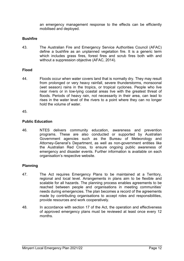an emergency management response to the effects can be efficiently mobilised and deployed.

#### <span id="page-11-0"></span>**Bushfire**

43. The Australian Fire and Emergency Service Authorities Council (AFAC) define a bushfire as an unplanned vegetation fire. It is a generic term which includes grass fires, forest fires and scrub fires both with and without a suppression objective (AFAC, 2014).

#### <span id="page-11-1"></span>**Flood**

44. Floods occur when water covers land that is normally dry. They may result from prolonged or very heavy rainfall, severe thunderstorms, monsoonal (wet season) rains in the tropics, or tropical cyclones. People who live near rivers or in low-lying coastal areas live with the greatest threat of floods. Periods of heavy rain, not necessarily in their area, can lead to rises in the water level of the rivers to a point where they can no longer hold the volume of water.

#### <span id="page-11-2"></span>45.

#### **Public Education**

46. NTES delivers community education, awareness and prevention programs. These are also conducted or supported by Australian Government agencies such as the Bureau of Meteorology and Attorney-General's Department, as well as non-government entities like the Australian Red Cross, to ensure ongoing public awareness of emergency and disaster events. Further information is available on each organisation's respective website.

#### <span id="page-11-3"></span>**Planning**

- 47. The Act requires Emergency Plans to be maintained at a Territory, regional and local level. Arrangements in plans aim to be flexible and scalable for all hazards. The planning process enables agreements to be reached between people and organisations in meeting communities' needs during emergencies. The plan becomes a record of the agreements made by contributing organisations to accept roles and responsibilities, provide resources and work cooperatively.
- 48. In accordance with section 17 of the Act, the operation and effectiveness of approved emergency plans must be reviewed at least once every 12 months.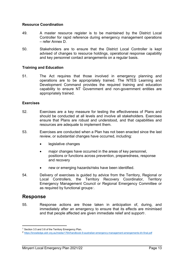#### <span id="page-12-0"></span>**Resource Coordination**

- 49. A master resource register is to be maintained by the District Local Controller for rapid reference during emergency management operations – refer Annex D.
- 50. Stakeholders are to ensure that the District Local Controller is kept advised of changes to resource holdings, operational response capability and key personnel contact arrangements on a regular basis.

#### <span id="page-12-1"></span>**Training and Education**

51. The Act requires that those involved in emergency planning and operations are to be appropriately trained. The NTES Learning and Development Command provides the required training and education capability to ensure NT Government and non-government entities are appropriately trained.

#### <span id="page-12-2"></span>**Exercises**

- 52. Exercises are a key measure for testing the effectiveness of Plans and should be conducted at all levels and involve all stakeholders. Exercises ensure that Plans are robust and understood, and that capabilities and resources are adequate to implement them.
- 53. Exercises are conducted when a Plan has not been enacted since the last review, or substantial changes have occurred, including:
	- legislative changes
	- major changes have occurred in the areas of key personnel, positions or functions across prevention, preparedness, response and recovery
	- new or emerging hazards/risks have been identified.
- 54. Delivery of exercises is guided by advice from the Territory, Regional or Local Controllers, the Territory Recovery Coordinator, Territory Emergency Management Council or Regional Emergency Committee or as required by functional groups[1](#page-12-4).

## <span id="page-12-3"></span>**Response**

**.** 

55. Response actions are those taken in anticipation of, during, and immediately after an emergency to ensure that its effects are minimised and that people affected are given immediate relief and support $\boldsymbol{\mathsf{r}}$ .

<span id="page-12-4"></span><sup>&</sup>lt;sup>1</sup> Section 3.5 and 3.6 of the Territory Emergency Plan.

<span id="page-12-5"></span><sup>2</sup> <https://knowledge.aidr.org.au/media/1764/handbook-9-australian-emergency-management-arrangements-kh-final.pdf>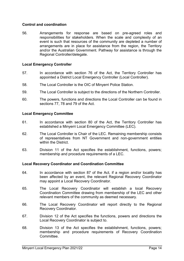#### <span id="page-13-0"></span>**Control and coordination**

56. Arrangements for response are based on pre-agreed roles and responsibilities for stakeholders. When the scale and complexity of an event is such that resources of the community are depleted a number of arrangements are in place for assistance from the region, the Territory and/or the Australian Government. Pathway for assistance is through the Regional Controller/delegate.

#### <span id="page-13-1"></span>**Local Emergency Controller**

- 57. In accordance with section 76 of the Act, the Territory Controller has appointed a District Local Emergency Controller (Local Controller).
- 58. The Local Controller is the OIC of Minyerri Police Station.
- 59. The Local Controller is subject to the directions of the Northern Controller.
- 60. The powers, functions and directions the Local Controller can be found in sections 77, 78 and 79 of the Act.

#### <span id="page-13-2"></span>**Local Emergency Committee**

- 61. In accordance with section 80 of the Act, the Territory Controller has established a Minyerri Local Emergency Committee (LEC).
- 62. The Local Controller is Chair of the LEC. Remaining membership consists of representatives from NT Government and non-government entities within the District.
- 63. Division 11 of the Act specifies the establishment, functions, powers; membership and procedure requirements of a LEC.

#### <span id="page-13-3"></span>**Local Recovery Coordinator and Coordination Committee**

- 64. In accordance with section 87 of the Act, if a region and/or locality has been affected by an event, the relevant Regional Recovery Coordinator may appoint a Local Recovery Coordinator.
- 65. The Local Recovery Coordinator will establish a local Recovery Coordination Committee drawing from membership of the LEC and other relevant members of the community as deemed necessary.
- 66. The Local Recovery Coordinator will report directly to the Regional Recovery Coordinator.
- 67. Division 12 of the Act specifies the functions, powers and directions the Local Recovery Coordinator is subject to.
- 68. Division 13 of the Act specifies the establishment, functions, powers; membership and procedure requirements of Recovery Coordination **Committee.**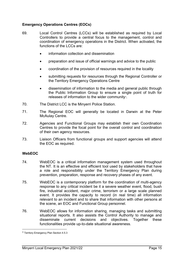#### <span id="page-14-0"></span>**Emergency Operations Centres (EOCs)**

- 69. Local Control Centres (LCCs) will be established as required by Local Controllers to provide a central focus to the management, control and coordination of emergency operations in the District. When activated, the functions of the LCCs are:
	- information collection and dissemination
	- preparation and issue of official warnings and advice to the public
	- coordination of the provision of resources required in the locality
	- submitting requests for resources through the Regional Controller or the Territory Emergency Operations Centre
	- dissemination of information to the media and general public through the Public Information Group to ensure a single point of truth for releases of information to the wider community<sup>[3](#page-14-2)</sup>.
- 70. The District LCC is the Minyerri Police Station.
- 71. The Regional EOC will generally be located in Darwin at the Peter McAulay Centre.
- 72. Agencies and Functional Groups may establish their own Coordination Centres to provide the focal point for the overall control and coordination of their own agency resources.
- 73. Liaison Officers from functional groups and support agencies will attend the EOC as required.

#### <span id="page-14-1"></span>**WebEOC**

 $\overline{a}$ 

- 74. WebEOC is a critical information management system used throughout the NT. It is an effective and efficient tool used by stakeholders that have a role and responsibility under the Territory Emergency Plan during prevention, preparation, response and recovery phases of any event.
- 75. WebEOC is a contemporary platform for the coordination of multi-agency response to any critical incident be it a severe weather event, flood, bush fire, industrial accident, major crime, terrorism or a large scale planned event. It provides the capacity to record (in real time) all information relevant to an incident and to share that information with other persons at the scene, an EOC and Functional Group personnel.
- 76. WebEOC allows for information sharing, managing tasks and submitting situational reports. It also assists the Control Authority to manage and disseminate current decisions and objectives. Together these functionalities provide up-to-date situational awareness.

<span id="page-14-2"></span><sup>3</sup> Territory Emergency Plan Section 4.5.3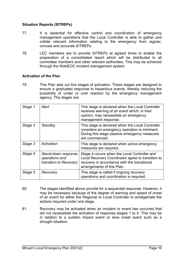#### <span id="page-15-0"></span>**Situation Reports (SITREPs)**

- 77. It is essential for effective control and coordination of emergency management operations that the Local Controller is able to gather and collate relevant information relating to the emergency from regular, concise and accurate SITREPs.
- 78. LEC members are to provide SITREPs at agreed times to enable the preparation of a consolidated report which will be distributed to all committee members and other relevant authorities. This may be achieved through the WebEOC incident management system.

#### <span id="page-15-1"></span>**Activation of the Plan**

79. This Plan sets out five stages of activation. These stages are designed to ensure a graduated response to hazardous events, thereby reducing the possibility of under or over reaction by the emergency management agency. The stages are:

| Stage 1 | Alert                                                           | This stage is declared when the Local Controller<br>receives warning of an event which, in their<br>opinion, may necessitate an emergency<br>management response.               |
|---------|-----------------------------------------------------------------|---------------------------------------------------------------------------------------------------------------------------------------------------------------------------------|
| Stage 2 | Standby                                                         | This stage is declared when the Local Controller<br>considers an emergency operation is imminent.<br>During this stage passive emergency measures<br>are commenced.             |
| Stage 3 | Activation                                                      | This stage is declared when active emergency<br>measures are required.                                                                                                          |
| Stage 4 | Stand-down response<br>operations and<br>transition to Recovery | Stage 4 occurs when the Local Controller and<br>Local Recovery Coordinator agree to transition to<br>recovery in accordance with the transitional<br>arrangements of this Plan. |
| Stage 5 | Recovery                                                        | This stage is called if ongoing recovery<br>operations and coordination is required.                                                                                            |

- 80. The stages identified above provide for a sequential response. However, it may be necessary because of the degree of warning and speed of onset of an event for either the Regional or Local Controller to amalgamate the actions required under one stage.
- 81. Recovery may be activated when an incident or event has occurred that did not necessitate the activation of response stages 1 to 4. This may be in relation to a sudden impact event or slow onset event such as a drought situation.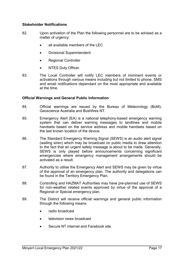#### <span id="page-16-0"></span>**Stakeholder Notifications**

- 82. Upon activation of the Plan the following personnel are to be advised as a matter of urgency:
	- all available members of the LEC
	- Divisional Superintendent
	- Regional Controller
	- NTES Duty Officer.
- 83. The Local Controller will notify LEC members of imminent events or activations through various means including but not limited to phone, SMS and email notifications dependant on the most appropriate and available at the time.

#### <span id="page-16-1"></span>**Official Warnings and General Public Information**

- 84. Official warnings are issued by the Bureau of Meteorology (BoM), Geoscience Australia and Bushfires NT.
- 85. Emergency Alert (EA) is a national telephony-based emergency warning system that can deliver warning messages to landlines and mobile handsets based on the service address and mobile handsets based on the last known location of the device.
- 86. The Standard Emergency Warning Signal (SEWS) is an audio alert signal (wailing siren) which may be broadcast on public media to draw attention to the fact that an urgent safety message is about to be made. Generally, SEWS is only played before announcements concerning significant emergencies where emergency management arrangements should be activated as a result.
- 87. Authority to utilise the Emergency Alert and SEWS may be given by virtue of the approval of an emergency plan. The authority and delegations can be found in the Territory Emergency Plan.
- 88. Controlling and HAZMAT Authorities may have pre-planned use of SEWS for non-weather related events approved by virtue of the approval of a Regional or Special emergency plan.
- 89. The District will receive official warnings and general public information through the following means:
	- radio broadcast
	- television news broadcast
	- Secure NT internet and Facebook site.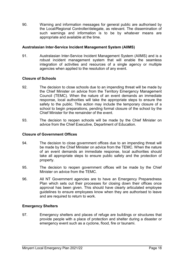90. Warning and information messages for general public are authorised by the Local/Regional Controller/delegate, as relevant. The dissemination of such warnings and information is to be by whatever means are appropriate and available at the time.

#### <span id="page-17-0"></span>**Australasian Inter-Service Incident Management System (AIIMS)**

91. Australasian Inter-Service Incident Management System (AIIMS) and is a robust incident management system that will enable the seamless integration of activities and resources of a single agency or multiple agencies when applied to the resolution of any event.

#### <span id="page-17-1"></span>**Closure of Schools**

- 92. The decision to close schools due to an impending threat will be made by the Chief Minister on advice from the Territory Emergency Management Council (TEMC). When the nature of an event demands an immediate response, local authorities will take the appropriate steps to ensure the safety to the public. This action may include the temporary closure of a school to begin preparations, pending formal closure of the school by the Chief Minister for the remainder of the event.
- 93. The decision to reopen schools will be made by the Chief Minister on advice from the Chief Executive, Department of Education.

#### <span id="page-17-2"></span>**Closure of Government Offices**

- 94. The decision to close government offices due to an impending threat will be made by the Chief Minister on advice from the TEMC. When the nature of an event demands an immediate response, local authorities should take all appropriate steps to ensure public safety and the protection of property.
- 95. The decision to reopen government offices will be made by the Chief Minister on advice from the TEMC.
- 96. All NT Government agencies are to have an Emergency Preparedness Plan which sets out their processes for closing down their offices once approval has been given. This should have clearly articulated employee guidelines to ensure employees know when they are authorised to leave and are required to return to work.

#### <span id="page-17-3"></span>**Emergency Shelters**

97. Emergency shelters and places of refuge are buildings or structures that provide people with a place of protection and shelter during a disaster or emergency event such as a cyclone, flood, fire or tsunami.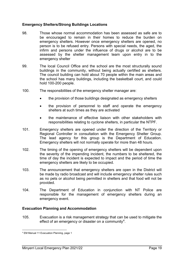#### <span id="page-18-0"></span>**Emergency Shelters/Strong Buildings Locations**

- 98. Those whose normal accommodation has been assessed as safe are to be encouraged to remain in their homes to reduce the burden on emergency shelters. However once emergency shelters are opened, no person is to be refused entry. Persons with special needs, the aged, the infirm and persons under the influence of drugs or alcohol are to be assessed by the shelter management team upon entry in to the emergency shelter
- 99. The local Council Office and the school are the most structurally sound buildings in the community, without being actually certified as shelters. The council building can hold about 70 people within the main areas and the school has many buildings, including the basketball court, and could hold 100-200 people.
- 100. The responsibilities of the emergency shelter manager are:
	- the provision of those buildings designated as emergency shelters
	- the provision of personnel to staff and operate the emergency shelters at such times as they are activated
	- the maintenance of effective liaison with other stakeholders with responsibilities relating to cyclone shelters, in particular the NTPF.
- 101. Emergency shelters are opened under the direction of the Territory or Regional Controller in consultation with the Emergency Shelter Group. The lead agency for this group is the Department of Education. Emergency shelters will not normally operate for more than 48 hours.
- 102. The timing of the opening of emergency shelters will be dependent upon the severity of the impending incident, the numbers to be sheltered, the time of day the incident is expected to impact and the period of time the emergency shelters are likely to be occupied.
- 103. The announcement that emergency shelters are open in the District will be made by radio broadcast and will include emergency shelter rules such as no pets or alcohol being permitted in shelters and that food will not be provided.
- 104. The Department of Education in conjunction with NT Police are responsible for the management of emergency shelters during an emergency event.

#### <span id="page-18-1"></span>**Evacuation Planning and Accommodation**

105. Evacuation is a risk management strategy that can be used to mitigate the effect of an emergency or disaster on a community<sup>[4](#page-18-2)</sup>.

 $\overline{a}$ 

<span id="page-18-2"></span><sup>4</sup> EM Manual 11 Evacuation Planning, page 1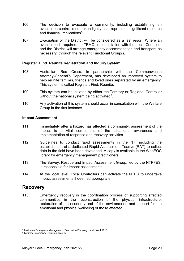- 106. The decision to evacuate a community, including establishing an evacuation centre, is not taken lightly as it represents significant resource and financial implications<sup>[5](#page-19-3)</sup>.
- 107. Evacuation of the District will be considered as a last resort. Where an evacuation is required the TEMC, in consultation with the Local Controller and the District, will arrange emergency accommodation and transport, as necessary, through the relevant Functional Group/s.

#### <span id="page-19-0"></span>**Register. Find. Reunite Registration and Inquiry System**

- 108. Australian Red Cross, in partnership with the Commonwealth Attorney-General's Department, has developed an improved system to help reunite families, friends and loved ones separated by an emergency. This system is called Register. Find. Reunite.
- 109. This system can be initiated by either the Territory or Regional Controller without the national system being activated<sup>6</sup>.
- 110. Any activation of this system should occur in consultation with the Welfare Group in the first instance.

#### <span id="page-19-1"></span>**Impact Assessment**

- 111. Immediately after a hazard has affected a community, assessment of the impact is a vital component of the situational awareness and implementation of response and recovery activities.
- 112. Guidelines to conduct rapid assessments in the NT, including the establishment of a dedicated Rapid Assessment Team/s (RAT) to collect data in the field have been developed. A copy is available in the WebEOC library for emergency management practitioners.
- 113. The Survey, Rescue and Impact Assessment Group, led by the NTPFES, is responsible for impact assessments.
- 114. At the local level, Local Controllers can activate the NTES to undertake impact assessments if deemed appropriate.

## <span id="page-19-2"></span>**Recovery**

115. Emergency recovery is the coordination process of supporting affected communities in the reconstruction of the physical infrastructure, restoration of the economy and of the environment, and support for the emotional and physical wellbeing of those affected.

<sup>&</sup>lt;u>.</u> <sup>5</sup> Australian Emergency Management, Evacuation Planning Handbook 4 2013

<span id="page-19-4"></span><span id="page-19-3"></span><sup>&</sup>lt;sup>6</sup> Territory Emergency Plan Section 4.17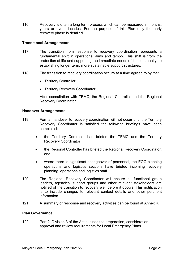116. Recovery is often a long term process which can be measured in months, years or even decades. For the purpose of this Plan only the early recovery phase is detailed.

#### <span id="page-20-0"></span>**Transitional Arrangements**

- 117. The transition from response to recovery coordination represents a fundamental shift in operational aims and tempo. This shift is from the protection of life and supporting the immediate needs of the community, to establishing longer term, more sustainable support structures.
- 118. The transition to recovery coordination occurs at a time agreed to by the:
	- Territory Controller
	- Territory Recovery Coordinator.

After consultation with TEMC, the Regional Controller and the Regional Recovery Coordinator.

#### <span id="page-20-1"></span>**Handover Arrangements**

- 119. Formal handover to recovery coordination will not occur until the Territory Recovery Coordinator is satisfied the following briefings have been completed:
	- the Territory Controller has briefed the TEMC and the Territory Recovery Coordinator
	- the Regional Controller has briefed the Regional Recovery Coordinator, and
	- where there is significant changeover of personnel, the EOC planning operations and logistics sections have briefed incoming recovery planning, operations and logistics staff.
- 120. The Regional Recovery Coordinator will ensure all functional group leaders, agencies, support groups and other relevant stakeholders are notified of the transition to recovery well before it occurs. This notification is to include changes to relevant contact details and other pertinent information.
- <span id="page-20-2"></span>121. A summary of response and recovery activities can be found at Annex K.

#### **Plan Governance**

122. Part 2, Division 3 of the Act outlines the preparation, consideration, approval and review requirements for Local Emergency Plans.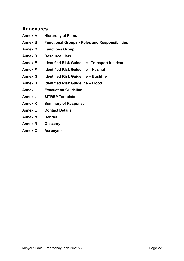## <span id="page-21-0"></span>**Annexures**

- **Annex A Hierarchy of Plans**
- **Annex B Functional Groups - Roles and Responsibilities**
- **Annex C Functions Group**
- **Annex D Resource Lists**
- **Annex E Identified Risk Guideline –Transport Incident**
- **Annex F Identified Risk Guideline – Hazmat**
- **Annex G Identified Risk Guideline – Bushfire**
- **Annex H Identified Risk Guideline – Flood**
- **Annex I Evacuation Guideline**
- **Annex J SITREP Template**
- **Annex K Summary of Response**
- **Annex L Contact Details**
- **Annex M Debrief**
- **Annex N Glossary**
- **Annex O Acronyms**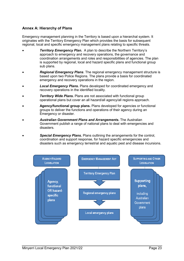#### <span id="page-22-0"></span>**Annex A: Hierarchy of Plans**

Emergency management planning in the Territory is based upon a hierarchal system. It originates with the Territory Emergency Plan which provides the basis for subsequent regional, local and specific emergency management plans relating to specific threats.

- *Territory Emergency Plan.* A plan to describe the Northern Territory's approach to emergency and recovery operations, the governance and coordination arrangements and roles and responsibilities of agencies. The plan is supported by regional, local and hazard specific plans and functional group sub plans.
- *Regional Emergency Plans*. The regional emergency management structure is based upon two Police Regions. The plans provide a basis for coordinated emergency and recovery operations in the region.
- *Local Emergency Plans***.** Plans developed for coordinated emergency and recovery operations in the identified locality.
- **Territory Wide Plans.** Plans are not associated with functional group operational plans but cover an all hazard/all agency/all regions approach.
- **Agency/functional group plans.** Plans developed for agencies or functional groups to deliver the functions and operations of their agency during an Emergency or disaster.
- *Australian Government Plans and Arrangements***.** The Australian Government publish a range of national plans to deal with emergencies and disasters.
- *Special Emergency Plans***.** Plans outlining the arrangements for the control, coordination and support response, for hazard specific emergencies and disasters such as emergency terrestrial and aquatic pest and disease incursions.

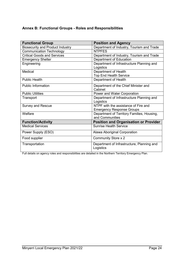## <span id="page-23-0"></span>**Annex B: Functional Groups - Roles and Responsibilities**

| <b>Functional Group</b>                 | <b>Position and Agency</b>                              |
|-----------------------------------------|---------------------------------------------------------|
| <b>Biosecurity and Product Industry</b> | Department of Industry, Tourism and Trade               |
| <b>Communication Technology</b>         | <b>NTPFES</b>                                           |
| <b>Critical Goods and Services</b>      | Department of Industry, Tourism and Trade               |
| <b>Emergency Shelter</b>                | Department of Education                                 |
| Engineering                             | Department of Infrastructure Planning and<br>Logistics  |
| Medical                                 | Department of Health                                    |
|                                         | <b>Top End Health Service</b>                           |
| <b>Public Health</b>                    | Department of Health                                    |
| <b>Public Information</b>               | Department of the Chief Minister and                    |
|                                         | Cabinet                                                 |
| <b>Public Utilities</b>                 | Power and Water Corporation                             |
| Transport                               | Department of Infrastructure Planning and<br>Logistics  |
| <b>Survey and Rescue</b>                | NTPF with the assistance of Fire and                    |
|                                         | <b>Emergency Response Groups</b>                        |
| Welfare                                 | Department of Territory Families, Housing,              |
|                                         | and Communities                                         |
| <b>Function/Activity</b>                | <b>Position and Organisation or Provider</b>            |
| <b>Medical Services</b>                 | <b>Sunrise Health Service</b>                           |
| Power Supply (ESO)                      | Alawa Aboriginal Corporation                            |
| Food supplier                           | <b>Community Store x 2</b>                              |
| Transportation                          | Department of Infrastructure, Planning and<br>Logistics |

Full details on agency roles and responsibilities are detailed in the Northern Territory Emergency Plan.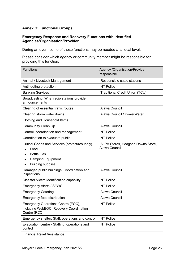## <span id="page-24-0"></span>**Annex C: Functional Groups**

#### **Emergency Response and Recovery Functions with Identified Agencies/Organisation/Provider**

During an event some of these functions may be needed at a local level.

Please consider which agency or community member might be responsible for providing this function:

| <b>Functions</b>                                                                                                                                 | <b>Agency /Organisation/Provider</b><br>responsible |
|--------------------------------------------------------------------------------------------------------------------------------------------------|-----------------------------------------------------|
| Animal / Livestock Management                                                                                                                    | Responsible cattle stations                         |
| Anti-looting protection                                                                                                                          | <b>NT Police</b>                                    |
| <b>Banking Services</b>                                                                                                                          | <b>Traditional Credit Union (TCU)</b>               |
| Broadcasting: What radio stations provide<br>announcements                                                                                       |                                                     |
| Clearing of essential traffic routes                                                                                                             | Alawa Council                                       |
| Clearing storm water drains                                                                                                                      | Alawa Council / PowerWater                          |
| Clothing and Household Items                                                                                                                     |                                                     |
| <b>Community Clean Up</b>                                                                                                                        | Alawa Council                                       |
| Control, coordination and management                                                                                                             | <b>NT Police</b>                                    |
| Coordination to evacuate public                                                                                                                  | <b>NT Police</b>                                    |
| Critical Goods and Services (protect/resupply)<br>Food<br><b>Bottle Gas</b><br><b>Camping Equipment</b><br><b>Building supplies</b><br>$\bullet$ | ALPA Stores, Hodgson Downs Store,<br>Alawa Council  |
| Damaged public buildings: Coordination and<br>inspections                                                                                        | Alawa Council                                       |
| Disaster Victim Identification capability                                                                                                        | <b>NT Police</b>                                    |
| <b>Emergency Alerts / SEWS</b>                                                                                                                   | <b>NT Police</b>                                    |
| <b>Emergency Catering</b>                                                                                                                        | Alawa Council                                       |
| <b>Emergency food distribution</b>                                                                                                               | Alawa Council                                       |
| Emergency Operations Centre (EOC),<br>including WebEOC, Recovery Coordination<br>Centre (RCC)                                                    | <b>NT Police</b>                                    |
| Emergency shelter. Staff, operations and control                                                                                                 | <b>NT Police</b>                                    |
| Evacuation centre - Staffing, operations and<br>control                                                                                          | <b>NT Police</b>                                    |
| <b>Financial Relief /Assistance</b>                                                                                                              |                                                     |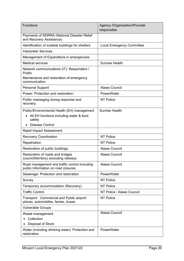| <b>Functions</b>                                                                                                           | <b>Agency /Organisation/Provider</b><br>responsible |
|----------------------------------------------------------------------------------------------------------------------------|-----------------------------------------------------|
| Payments of NDRRA (National Disaster Relief<br>and Recovery Assistance)                                                    |                                                     |
| Identification of suitable buildings for shelters                                                                          | <b>Local Emergency Committee</b>                    |
| <b>Interpreter Services</b>                                                                                                |                                                     |
| Management of Expenditure in emergencies                                                                                   |                                                     |
| <b>Medical services</b>                                                                                                    | <b>Sunrise Health</b>                               |
| Network communications (IT): Responders /<br>Public<br>Maintenance and restoration of emergency                            |                                                     |
| communication                                                                                                              |                                                     |
| <b>Personal Support</b>                                                                                                    | Alawa Council                                       |
| Power: Protection and restoration:                                                                                         | PowerWater                                          |
| Public messaging during response and<br>recovery.                                                                          | <b>NT Police</b>                                    |
| Public/Environmental Health (EH) management<br>All EH functions including water & food<br>safety<br><b>Disease Control</b> | <b>Sunrise Health</b>                               |
| Rapid Impact Assessment                                                                                                    |                                                     |
| <b>Recovery Coordination</b>                                                                                               | <b>NT Police</b>                                    |
| Repatriation                                                                                                               | <b>NT Police</b>                                    |
| Restoration of public buildings                                                                                            | Alawa Council                                       |
| Restoration of roads and bridges<br>(council/territory) excluding railways                                                 | Alawa Council                                       |
| Road management and traffic control including<br>public Information on road closures                                       | Alawa Council                                       |
| Sewerage: Protection and restoration                                                                                       | PowerWater                                          |
| Survey                                                                                                                     | <b>NT Police</b>                                    |
| Temporary accommodation (Recovery)                                                                                         | <b>NT Police</b>                                    |
| <b>Traffic Control</b>                                                                                                     | NT Police / Alawa Council                           |
| Transport: Commercial and Public airport/<br>planes, automobiles, ferries, buses                                           | <b>NT Police</b>                                    |
| <b>Vulnerable Groups</b>                                                                                                   |                                                     |
| Waste management                                                                                                           | Alawa Council                                       |
| Collection                                                                                                                 |                                                     |
| Disposal of Stock                                                                                                          |                                                     |
| Water (including drinking water): Protection and<br>restoration                                                            | PowerWater                                          |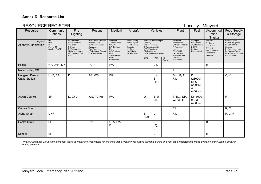#### **Annex D: Resource List**

## RESOURCE REGISTER **Locality - Minyerri**

| Resource                                      | Communic<br>ations                                                       | Fire<br>Fighting                                                                                                       | Rescue                                                                                                                                  | Medical                                                                                                        | Aircraft                                                                                                  | Vehicles                                                                                                                                  |                   | Plant          | Fuel                     | Accommod<br>ation<br>/Shelter                                                   | <b>Food Supply</b><br>& Storage                                                           |                                                                                                                                                |
|-----------------------------------------------|--------------------------------------------------------------------------|------------------------------------------------------------------------------------------------------------------------|-----------------------------------------------------------------------------------------------------------------------------------------|----------------------------------------------------------------------------------------------------------------|-----------------------------------------------------------------------------------------------------------|-------------------------------------------------------------------------------------------------------------------------------------------|-------------------|----------------|--------------------------|---------------------------------------------------------------------------------|-------------------------------------------------------------------------------------------|------------------------------------------------------------------------------------------------------------------------------------------------|
| Legend<br>Agency/Organisation                 | <b>HF</b><br><b>UHF</b><br><b>VHF</b><br>Marine (M)<br>Satellite Ph (SP) | A=Appliance<br>D=Dropon Unit<br>T=Trailer<br>F=Foam<br>E=Extinguisher<br>(4.5kg and above)<br>GFU - Grass Fire<br>Unit | <b>RAR=Road Accident</b><br>Rescue Team<br><b>HE=Heavy Rescue</b><br>Equipment<br>WS=Workshop<br>PG=Portable Genset<br>FL=Floodlighting | =Hospital<br>A=Ambulance<br>C=Clinic<br>F/A=First Aid<br><b>Kits</b><br>SF=Stretcher<br>(fld)<br>SB=Stretcher- | F=Fixed Wing<br>H=Helicopter<br>(oo)=Seating<br>Capacity<br>(s)=Stretcher<br>$(w)$ =Winch<br>(kg)=Payload | S=Sedan/Stationwagon<br>U=Utility<br>B=Bus (seating)<br>T=Truck (capacity)<br>WT=Water tanker<br>FT=Fuel tanker<br>LW=Liquid waste tanker |                   |                |                          | A=Avgas<br>D=Distillate<br>J=Jet aviation<br>$L = LPG$<br>S=Super<br>U=Unleaded | B=Beds<br>R=Rooms<br>C=Caravans<br>$T = Tents$<br>Tp=Tarpaulins<br>Ps=Plastic<br>Sheeting | R=Retail store<br>B=Bulk dry goods<br>K=Commercial<br>Catering<br>P=Portable cooking<br>F=Freezer (fixed)<br>Fm=Freezer (mobile)<br>C=Coolroom |
|                                               |                                                                          |                                                                                                                        |                                                                                                                                         | (bsk)<br>B=Blankets                                                                                            |                                                                                                           | 2WD                                                                                                                                       | 4WD               | All<br>Terrain | G=Grader<br>BC=Bobcat    |                                                                                 |                                                                                           |                                                                                                                                                |
| Police                                        | HF, UHF, SP                                                              |                                                                                                                        | PG                                                                                                                                      | F/A                                                                                                            |                                                                                                           |                                                                                                                                           | Ux2               |                |                          |                                                                                 | $\mathsf{R}$                                                                              |                                                                                                                                                |
| Roper Valley OS                               |                                                                          |                                                                                                                        |                                                                                                                                         |                                                                                                                |                                                                                                           |                                                                                                                                           |                   |                | T                        |                                                                                 |                                                                                           |                                                                                                                                                |
| <b>Hodgson Downs</b><br><b>Cattle Station</b> | UHF, SP                                                                  | D                                                                                                                      | PG, WS                                                                                                                                  | F/A                                                                                                            |                                                                                                           |                                                                                                                                           | Ux4,<br>S<br>(11) |                | B/H, G, T,<br>F/L        | D<br>(23000lt<br>s), U<br>$(200$ lts),<br>$(400$ lts $)$                        |                                                                                           | C, K                                                                                                                                           |
| Alawa Council                                 | SP                                                                       | D, GFU                                                                                                                 | WS, PG (6)                                                                                                                              | F/A                                                                                                            |                                                                                                           | U                                                                                                                                         | B, U<br>(2)       |                | T, BC, B/H,<br>G, F/L, F | D(11000l<br>$ts)$ , U<br>$(400$ lts)                                            |                                                                                           | F.                                                                                                                                             |
| Quinns Shop                                   |                                                                          |                                                                                                                        |                                                                                                                                         |                                                                                                                |                                                                                                           |                                                                                                                                           | $\cup$            |                | F/L                      |                                                                                 |                                                                                           | R, C                                                                                                                                           |
| Alpha Shop                                    | <b>UHF</b>                                                               |                                                                                                                        |                                                                                                                                         |                                                                                                                |                                                                                                           | B<br>(12)                                                                                                                                 | $\cup$            |                | F/L                      |                                                                                 |                                                                                           | <b>R, C, F</b>                                                                                                                                 |
| <b>Health Clinic</b>                          | <b>SP</b>                                                                |                                                                                                                        | <b>RAR</b>                                                                                                                              | C, A, F/A,<br>$\sf B$                                                                                          |                                                                                                           |                                                                                                                                           | S<br>(3),<br>U    |                |                          |                                                                                 | B, R                                                                                      |                                                                                                                                                |
| School                                        | <b>SP</b>                                                                |                                                                                                                        |                                                                                                                                         |                                                                                                                |                                                                                                           |                                                                                                                                           | U                 |                |                          |                                                                                 | R                                                                                         |                                                                                                                                                |

<span id="page-26-0"></span>Where Functional Groups are identified, those agencies are responsible for ensuring that a record of resources available during an event are completed and made available to the Local Controller *during an event*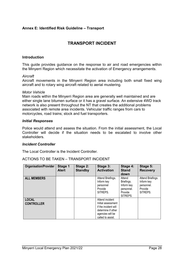#### <span id="page-27-0"></span>**Annex E: Identified Risk Guideline – Transport**

## **TRANSPORT INCIDENT**

#### **Introduction**

This guide provides guidance on the response to air and road emergencies within the Minyerri Region which necessitate the activation of Emergency arrangements.

#### *Aircraft*

Aircraft movements in the Minyerri Region area including both small fixed wing aircraft and to rotary wing aircraft related to aerial mustering.

#### *Motor Vehicle*

Main roads within the Minyerri Region area are generally well maintained and are either single lane bitumen surface or it has a gravel surface. An extensive 4WD track network is also present throughout the NT that creates the additional problems associated with remote area incidents. Vehicular traffic ranges from cars to motorcycles, road trains; stock and fuel transporters.

#### *Initial Responses*

Police would attend and assess the situation. From the initial assessment, the Local Controller will decide if the situation needs to be escalated to involve other stakeholders.

#### *Incident Controller*

The Local Controller is the Incident Controller.

| <b>Organisation/Provider</b>      | Stage 1<br><b>Alert</b> | Stage 2:<br><b>Standby</b> | Stage 3:<br><b>Activation</b>                                                                                                | Stage 4:<br><b>Stand</b><br>down                                        | Stage 5:<br><b>Recovery</b>                                          |
|-----------------------------------|-------------------------|----------------------------|------------------------------------------------------------------------------------------------------------------------------|-------------------------------------------------------------------------|----------------------------------------------------------------------|
| <b>ALL MEMBERS</b>                |                         |                            | Attend Briefings.<br>Inform key<br>personnel<br>Provide<br>SITREPS.                                                          | Attend<br>Briefings.<br>Inform key<br>personnel.<br>Provide<br>SITREPS. | Attend Briefings.<br>Inform key<br>personnel.<br>Provide<br>SITREPS. |
| <b>LOCAL</b><br><b>CONTROLLER</b> |                         |                            | Attend incident<br>Initial assessment<br>if the incident will<br>determine if other<br>agencies will be<br>called to assist. |                                                                         |                                                                      |

ACTIONS TO BE TAKEN – TRANSPORT INCIDENT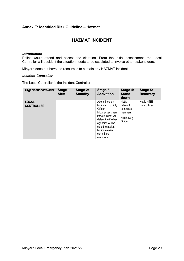#### <span id="page-28-0"></span>**Annex F: Identified Risk Guideline – Hazmat**

## **HAZMAT INCIDENT**

#### *Introduction*

Police would attend and assess the situation. From the initial assessment, the Local Controller will decide if the situation needs to be escalated to involve other stakeholders.

Minyerri does not have the resources to contain any HAZMAT incident.

#### *Incident Controller*

The Local Controller is the Incident Controller.

| <b>Organisation/Provider</b>      | Stage 1<br><b>Alert</b> | Stage 2:<br><b>Standby</b> | Stage 3:<br><b>Activation</b>                                                                                                                                                                          | Stage 4:<br><b>Stand</b><br>down                                           | Stage 5:<br><b>Recovery</b> |
|-----------------------------------|-------------------------|----------------------------|--------------------------------------------------------------------------------------------------------------------------------------------------------------------------------------------------------|----------------------------------------------------------------------------|-----------------------------|
| <b>LOCAL</b><br><b>CONTROLLER</b> |                         |                            | Attend incident<br>Notify NTES Duty<br>Officer<br>Initial assessment<br>if the incident will<br>determine if other<br>agencies will be<br>called to assist.<br>Notify relevant<br>committee<br>members | Notify<br>relevant<br>committee<br>members.<br><b>NTES Duty</b><br>Officer | Notify NTES<br>Duty Officer |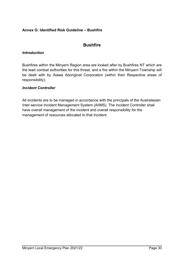#### <span id="page-29-0"></span>**Annex G: Identified Risk Guideline – Bushfire**

## **Bushfire**

#### *Introduction*

Bushfires within the Minyerri Region area are looked after by Bushfires NT which are the lead combat authorities for this threat, and a fire within the Minyerri Township will be dealt with by Alawa Aboriginal Corporation (within their Respective areas of responsibility).

#### *Incident Controller*

All incidents are to be managed in accordance with the principals of the Australasian Inter-service Incident Management System (AIIMS). The Incident Controller shall have overall management of the incident and overall responsibility for the management of resources allocated to that incident.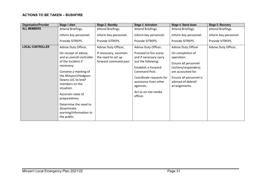#### **ACTIONS TO BE TAKEN – BUSHFIRE**

| <b>Organisation/Provider</b> | <b>Stage 1 Alert</b>                                                                                                                                                                                                                                                                                                 | <b>Stage 2: Standby</b>                                               | <b>Stage 3: Activation</b>                                                                                                                                                                                         | Stage 4: Stand down                                                                                                                                                    | <b>Stage 5: Recovery</b> |
|------------------------------|----------------------------------------------------------------------------------------------------------------------------------------------------------------------------------------------------------------------------------------------------------------------------------------------------------------------|-----------------------------------------------------------------------|--------------------------------------------------------------------------------------------------------------------------------------------------------------------------------------------------------------------|------------------------------------------------------------------------------------------------------------------------------------------------------------------------|--------------------------|
| <b>ALL MEMBERS</b>           | Attend Briefings.                                                                                                                                                                                                                                                                                                    | Attend Briefings.                                                     | Attend Briefings.                                                                                                                                                                                                  | Attend Briefings.                                                                                                                                                      | Attend Briefings.        |
|                              | Inform key personnel.                                                                                                                                                                                                                                                                                                | Inform key personnel.                                                 | Inform key personnel.                                                                                                                                                                                              | Inform key personnel.                                                                                                                                                  | Inform key personnel.    |
|                              | Provide SITREPS.                                                                                                                                                                                                                                                                                                     | Provide SITREPS.                                                      | Provide SITREPS.                                                                                                                                                                                                   | Provide SITREPS.                                                                                                                                                       | Provide SITREPS.         |
| <b>LOCAL CONTROLLER</b>      | Advise Duty Officer,                                                                                                                                                                                                                                                                                                 | Advise Duty Officer,                                                  | Advise Duty Officer,                                                                                                                                                                                               | <b>Advise Duty Officer</b>                                                                                                                                             | Advise Duty Officer,     |
|                              | On receipt of advice,<br>and as overall controller<br>of the incident if<br>necessary:<br>Convene a meeting of<br>the Minyerri/Hodgson<br>Downs LEC to brief<br>members on the<br>situation.<br>Ascertain state of<br>preparedness.<br>Determine the need to<br>disseminate<br>warning/information to<br>the public. | If necessary, ascertain<br>the need to set up<br>forward command post | Proceed to fire scene<br>and if necessary carry<br>out the following:<br>Establish a Forward<br>Command Post.<br>Coordinate requests for<br>assistance from other<br>agencies.<br>Act as on site media<br>officer. | On completion of<br>operation:<br>Ensure all personnel<br>(victims/responders)<br>are accounted for.<br>Ensure all personnel is<br>advised of debrief<br>arrangements. |                          |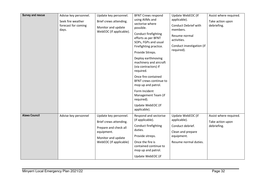| <b>Survey and rescue</b> | Advise key personnel.<br>Seek fire weather<br>forecast for coming<br>days. | Update key personnel.<br>Brief crews attending.<br>Monitor and update<br>WebEOC (If applicable).                                       | <b>BFNT Crews respond</b><br>using AllMs and<br>sectorise where<br>possible.<br>Conduct firefighting<br>efforts as per BFNT<br>SOPs, FGPs and usual<br>Firefighting practice.<br>Provide Sitreps.<br>Deploy earthmoving<br>machinery and aircraft<br>(via contractors) if<br>required.<br>Once fire contained<br>BFNT crews continue to<br>mop up and patrol.<br>Form Incident<br>Management Team (if<br>required).<br>Update WebEOC (If | Update WebEOC (If<br>applicable).<br><b>Conduct Debrief with</b><br>members.<br>Resume normal<br>activities.<br>Conduct investigation (if<br>required). | Assist where required.<br>Take action upon<br>debriefing. |
|--------------------------|----------------------------------------------------------------------------|----------------------------------------------------------------------------------------------------------------------------------------|------------------------------------------------------------------------------------------------------------------------------------------------------------------------------------------------------------------------------------------------------------------------------------------------------------------------------------------------------------------------------------------------------------------------------------------|---------------------------------------------------------------------------------------------------------------------------------------------------------|-----------------------------------------------------------|
|                          |                                                                            |                                                                                                                                        | applicable).                                                                                                                                                                                                                                                                                                                                                                                                                             |                                                                                                                                                         |                                                           |
| <b>Alawa Council</b>     | Advise key personnel                                                       | Update key personnel.<br>Brief crews attending.<br>Prepare and check all<br>equipment.<br>Monitor and update<br>WebEOC (If applicable) | Respond and sectorise<br>(if applicable).<br>Conduct firefighting<br>duties.<br>Provide sitreps.<br>Once the fire is<br>contained continue to<br>mop up and patrol.<br>Update WebEOC (if                                                                                                                                                                                                                                                 | Update WebEOC (if<br>applicable).<br>Conduct debrief.<br>Clean and prepare<br>equipment.<br>Resume normal duties.                                       | Assist where required.<br>Take action upon<br>debriefing. |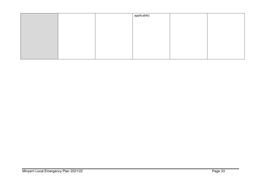|  | applicable) |  |
|--|-------------|--|
|  |             |  |
|  |             |  |
|  |             |  |
|  |             |  |
|  |             |  |
|  |             |  |
|  |             |  |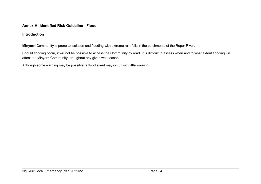#### **Annex H: Identified Risk Guideline - Flood**

#### **Introduction**

**Minyerri** Community is prone to isolation and flooding with extreme rain falls in the catchments of the Roper River.

Should flooding occur, it will not be possible to access the Community by road. It is difficult to assess when and to what extent flooding will affect the Minyerri Community throughout any given wet season.

<span id="page-33-0"></span>Although some warning may be possible, a flood event may occur with little warning.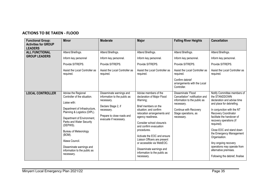## **ACTIONS TO BE TAKEN - FLOOD**

| <b>Functional Group:</b><br><b>Activities for GROUP</b><br><b>LEADERS</b> | <b>Minor</b>                                                                                                                                                                                                                                                                                                                                     | <b>Moderate</b>                                                                                                                                                     | <b>Major</b>                                                                                                                                                                                                                                                                                                                                                                                                      | <b>Falling River Heights</b>                                                                                                                                       | <b>Cancellation</b>                                                                                                                                                                                                                                                                                                                                                                                                               |
|---------------------------------------------------------------------------|--------------------------------------------------------------------------------------------------------------------------------------------------------------------------------------------------------------------------------------------------------------------------------------------------------------------------------------------------|---------------------------------------------------------------------------------------------------------------------------------------------------------------------|-------------------------------------------------------------------------------------------------------------------------------------------------------------------------------------------------------------------------------------------------------------------------------------------------------------------------------------------------------------------------------------------------------------------|--------------------------------------------------------------------------------------------------------------------------------------------------------------------|-----------------------------------------------------------------------------------------------------------------------------------------------------------------------------------------------------------------------------------------------------------------------------------------------------------------------------------------------------------------------------------------------------------------------------------|
| <b>ALL FUNCTIONAL</b><br><b>GROUP LEADERS</b>                             | Attend Briefings.<br>Inform key personnel                                                                                                                                                                                                                                                                                                        | Attend Briefings.<br>Inform key personnel.                                                                                                                          | Attend Briefings.<br>Inform key personnel.                                                                                                                                                                                                                                                                                                                                                                        | Attend Briefings.<br>Inform key personnel.                                                                                                                         | Attend Briefings.<br>Inform key personnel.                                                                                                                                                                                                                                                                                                                                                                                        |
|                                                                           | Provide SITREPS.                                                                                                                                                                                                                                                                                                                                 | Provide SITREPS.                                                                                                                                                    | Provide SITREPS.                                                                                                                                                                                                                                                                                                                                                                                                  | Provide SITREPS.                                                                                                                                                   | Provide SITREPS.                                                                                                                                                                                                                                                                                                                                                                                                                  |
|                                                                           | Assist the Local Controller as<br>required.                                                                                                                                                                                                                                                                                                      | Assist the Local Controller as<br>required.                                                                                                                         | Assist the Local Controller as<br>required.                                                                                                                                                                                                                                                                                                                                                                       | Assist the Local Controller as<br>required.                                                                                                                        | Assist the Local Controller as<br>required.                                                                                                                                                                                                                                                                                                                                                                                       |
|                                                                           |                                                                                                                                                                                                                                                                                                                                                  |                                                                                                                                                                     |                                                                                                                                                                                                                                                                                                                                                                                                                   | Confirm debrief<br>arrangements with the Local<br>Controller.                                                                                                      |                                                                                                                                                                                                                                                                                                                                                                                                                                   |
| <b>LOCAL CONTROLLER</b>                                                   | Advise the Regional<br>Controller of the situation.<br>Liaise with:<br>Department of Infrastructure,<br>Planning & Logistics (DIPL).<br>Department of Environment,<br>Parks and Water Security<br>(DEPWS).<br><b>Bureau of Meteorology</b><br>(BOM).<br>Alawa Council.<br>Disseminate warnings and<br>information to the public as<br>necessary. | Disseminate warnings and<br>information to the public as<br>necessary.<br>Declare Stage 2, if<br>necessary.<br>Prepare to close roads and<br>evacuate if necessary. | Advise members of the<br>declaration of Major Flood<br>Warning;<br>Brief members on the<br>situation; and confirm<br>relocation arrangements and<br>agency readiness.<br>Consider school closure/s<br>and confirm evacuation<br>procedures.<br>Activate the EOC and ensure<br>Liaison Officers are present<br>or accessible via WebEOC.<br>Disseminate warnings and<br>information to the public as<br>necessary. | Disseminate 'Flood<br>Cancellation" notification and<br>information to the public as<br>necessary.<br>Continue with Recovery<br>Stage operations, as<br>necessary. | Notify Committee members of<br>the STANDDOWN<br>declaration and advise time<br>and place for debriefing.<br>In conjunction with the NT<br>Recovery Coordinator<br>facilitate the handover of<br>recovery operations (if<br>required).<br>Close EOC and stand down<br>the Emergency Management<br>Organisation.<br>Any ongoing recovery<br>operations may operate from<br>alternative premises.<br>Following the debrief, finalise |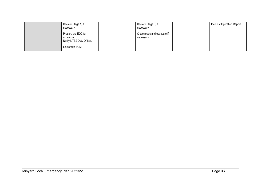| Declare Stage 1, if                                                                 | Declare Stage 3, if                       | the Post Operation Report. |
|-------------------------------------------------------------------------------------|-------------------------------------------|----------------------------|
| necessary.                                                                          | necessary.                                |                            |
| Prepare the EOC for<br>activation.<br>Notify NTES Duty Officer.<br>Liaise with BOM. | Close roads and evacuate if<br>necessary. |                            |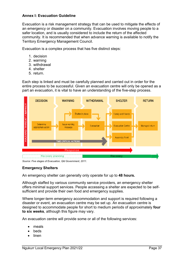#### <span id="page-36-0"></span>**Annex I: Evacuation Guideline**

Evacuation is a risk management strategy that can be used to mitigate the effects of an emergency or disaster on a community. Evacuation involves moving people to a safer location, and is usually considered to include the return of the affected community. It is recommended that when advance warning is available to notify the Territory Emergency Management Council.

Evacuation is a complex process that has five distinct steps:

- 1. decision
- 2. warning
- 3. withdrawal
- 4. shelter
- 5. return.

Each step is linked and must be carefully planned and carried out in order for the entire process to be successful. Given an evacuation centre will only be opened as a part an evacuation, it is vital to have an understanding of the five-step process.



*Source: Five stages of Evacuation, Qld Government, 2011.*

#### **Emergency Shelters**

An emergency shelter can generally only operate for up to **48 hours.**

Although staffed by various community service providers, an emergency shelter offers minimal support services. People accessing a shelter are expected to be selfsufficient and provide their own food and emergency supplies.

Where longer-term emergency accommodation and support is required following a disaster or event, an evacuation centre may be set up. An evacuation centre is designed to accommodate people for short to medium periods of approximately **four to six weeks**, although this figure may vary.

An evacuation centre will provide some or all of the following services:

- meals
- **beds**
- linen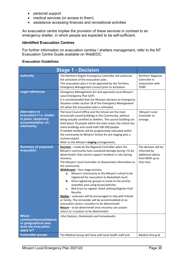- personal support
- medical services (or access to them)
- assistance accessing finances and recreational activities

An evacuation centre implies the provision of these services in contrast to an emergency shelter, in which people are expected to be self-sufficient.

#### **Identified Evacuation Centres**

For further information on evacuation centres / shelters management, refer to the NT Evacuation Centre Guide available on WebEOC.

#### **Evacuation Guidelines**

|                                                                                                               | <b>Stage 1 - Decision</b>                                                                                                                                                                                                                                                                                                                                                                                                                                                                                                                                                                                                                                                                                                                                                                                                                                                                                                                         |                                                                                          |
|---------------------------------------------------------------------------------------------------------------|---------------------------------------------------------------------------------------------------------------------------------------------------------------------------------------------------------------------------------------------------------------------------------------------------------------------------------------------------------------------------------------------------------------------------------------------------------------------------------------------------------------------------------------------------------------------------------------------------------------------------------------------------------------------------------------------------------------------------------------------------------------------------------------------------------------------------------------------------------------------------------------------------------------------------------------------------|------------------------------------------------------------------------------------------|
| <b>Authority</b>                                                                                              | The Northern Region Emergency Controller will authorise<br>the activation of the evacuation plan.<br>This evacuation plan is to be approved by the Territory<br>Emergency Management Council prior to activation.                                                                                                                                                                                                                                                                                                                                                                                                                                                                                                                                                                                                                                                                                                                                 | Northern Regional<br>Controller in<br>conjunction with<br><b>TEMC</b>                    |
| <b>Legal references</b>                                                                                       | Emergency Management Act and approved Local Minyerri<br>Local Emergency Plan (LEP).<br>It is recommended that the Minister declares an Emergency<br>Situation under section 18 of the Emergency Management<br>Act when this evacuation plan is activated.                                                                                                                                                                                                                                                                                                                                                                                                                                                                                                                                                                                                                                                                                         |                                                                                          |
| <b>Alternative to</b><br>evacuation? I.e. shelter<br>in place, temporary<br>accommodation on-<br>site/nearby. | The local Council Office and the School are the most<br>structurally sound buildings in the Community, without<br>being actually certified as shelters. The council building can<br>hold about 70 people within the main areas; the school has<br>many buildings and could hold 100-200 people.<br>If needed residents will be progressively relocated within<br>the community to Minyerri School for pre staging post a<br>cyclone impact.<br>Refer to the Minyerri staging arrangements.                                                                                                                                                                                                                                                                                                                                                                                                                                                        | Minyerri Local<br>Controller to<br>arrange.                                              |
| <b>Summary of proposed</b><br>evacuation                                                                      | <b>Decision</b> - made by the Regional Controller when the<br>Minyerri community have sustained damage during <to be<br="">determined&gt; that cannot support residents in situ during<br/>recovery.<br/>The Minyerri Local Controller to disseminate information to<br/>the community.<br/>Withdrawal - four stage process;<br/>Minyerri community to the Minyerri school to be<br/>а.<br/>registered for evacuation to Basketball court;<br/>Once registered, groups to move to the airstrip<br/>b.<br/>assembly area using buses/vehicles;<br/>Red Cross to register check utilising Register Find<br/>c.<br/>Reunite.<br/>Shelter - evacuees will be encouraged to stay with friends<br/>or family. The remainder will be accommodated at an<br/>evacuation centre <location be="" determined="" to=""><br/>Return - to be determined once recovery can sustain<br/>return to <location be="" determined="" to=""></location></location></to> | The decision will be<br>informed by<br>additional advice<br>from BOM up to<br>that time. |
| <b>Which</b><br>communities/outstations<br>or geographical area<br>does the evacuation<br>apply to?           | <out and="" homelands="" homesteads="" stations,=""></out>                                                                                                                                                                                                                                                                                                                                                                                                                                                                                                                                                                                                                                                                                                                                                                                                                                                                                        |                                                                                          |
| <b>Vulnerable groups</b>                                                                                      | The Medical Group will liaise with local health staff and                                                                                                                                                                                                                                                                                                                                                                                                                                                                                                                                                                                                                                                                                                                                                                                                                                                                                         | Medical Group &                                                                          |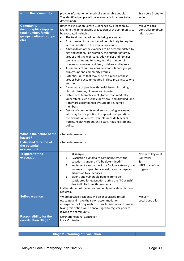| within the community                                                                                 | provide information on medically vulnerable people.<br>The Identified people will be evacuated <at a="" be<br="" time="" to="">determined&gt;.</at>                                                                                                                                                                                                                                                                                                                                                                                                                                                                                                                                                                                                                                                                                                                                                                                                                                                                                                                                                                                                                                                                                                                                                                                                                                                                                | Transport Group to<br>action.                                        |
|------------------------------------------------------------------------------------------------------|------------------------------------------------------------------------------------------------------------------------------------------------------------------------------------------------------------------------------------------------------------------------------------------------------------------------------------------------------------------------------------------------------------------------------------------------------------------------------------------------------------------------------------------------------------------------------------------------------------------------------------------------------------------------------------------------------------------------------------------------------------------------------------------------------------------------------------------------------------------------------------------------------------------------------------------------------------------------------------------------------------------------------------------------------------------------------------------------------------------------------------------------------------------------------------------------------------------------------------------------------------------------------------------------------------------------------------------------------------------------------------------------------------------------------------|----------------------------------------------------------------------|
| <b>Community</b><br>demographics (approx.<br>total number, family<br>groups, cultural groups<br>etc) | Refer to Evacuation Centre Guidelines p.21 (section 4.2)<br>Examine the demographic breakdown of the community to<br>be evacuated including<br>The total number of people being evacuated.<br>$\bullet$<br>An estimate of the number of people likely to require<br>$\bullet$<br>accommodation in the evacuation centre.<br>A breakdown of the evacuees to be accommodated by<br>$\bullet$<br>age and gender. For example, the number of family<br>groups and single persons, adult males and females,<br>teenage males and females, and the number of<br>primary school-aged children, toddlers and infants.<br>A summary of cultural considerations, family groups,<br>$\bullet$<br>skin groups and community groups.<br>Potential issues that may arise as a result of these<br>$\bullet$<br>groups being accommodated in close proximity to one<br>another.<br>A summary of people with health issues, including<br>$\bullet$<br>chronic diseases, illnesses and injuries.<br>Details of vulnerable clients (other than medically<br>$\bullet$<br>vulnerable), such as the elderly, frail and disabled (and<br>if they are accompanied by support i.e.: family<br>members)<br>Details of community workers also being evacuated<br>$\bullet$<br>who may be in a position to support the operation of<br>the evacuation centre. Examples include teachers,<br>nurses, health workers, shire staff, housing staff and<br>police. | Minyerri Local<br>Controller to obtain<br>information.               |
| What is the nature of the<br>hazard?                                                                 | <to be="" determined=""></to>                                                                                                                                                                                                                                                                                                                                                                                                                                                                                                                                                                                                                                                                                                                                                                                                                                                                                                                                                                                                                                                                                                                                                                                                                                                                                                                                                                                                      |                                                                      |
| <b>Estimated duration of</b><br>the potential<br>evacuation?                                         | <to be="" determined=""></to>                                                                                                                                                                                                                                                                                                                                                                                                                                                                                                                                                                                                                                                                                                                                                                                                                                                                                                                                                                                                                                                                                                                                                                                                                                                                                                                                                                                                      |                                                                      |
| <b>Triggers for the</b><br>evacuation                                                                | <example<br>Evacuation planning to commence when the<br/>1.<br/>Location is under a <to be="" determined="">".<br/>Implement evacuation if the Cyclone category is at<br/>2.<br/>severe and impact has caused major damage and<br/>disruption to all services.<br/>Elderly and vulnerable people are to be<br/>3.<br/>considered for evacuation during the "TC Watch"<br/>due to limited health services.&gt;<br/>Further details of the intra-community relocation plan are<br/>required.</to></example<br>                                                                                                                                                                                                                                                                                                                                                                                                                                                                                                                                                                                                                                                                                                                                                                                                                                                                                                                       | Northern Regional<br>Controller<br>&<br>NTES to confirm<br>triggers. |
| <b>Self-evacuation</b>                                                                               | Where possible residents will be encouraged to self-<br>evacuate and make their own accommodation<br>arrangements if they wish to do so. Individuals and families<br>taking this option will be encouraged to register prior to<br>leaving the community.                                                                                                                                                                                                                                                                                                                                                                                                                                                                                                                                                                                                                                                                                                                                                                                                                                                                                                                                                                                                                                                                                                                                                                          | Minyerri<br><b>Local Controller</b>                                  |
| <b>Responsibility for the</b><br>coordination Stage 1                                                | Northern Regional Controller<br>Local Controller                                                                                                                                                                                                                                                                                                                                                                                                                                                                                                                                                                                                                                                                                                                                                                                                                                                                                                                                                                                                                                                                                                                                                                                                                                                                                                                                                                                   |                                                                      |

**Stage 2 – Warning of Evacuation**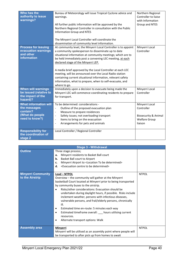| Who has the<br>authority to issue<br>warnings?                                                | Bureau of Meteorology will issue Tropical Cyclone advice and<br>warnings.<br>All further public information will be approved by the<br>Northern Regional Controller in consultation with the Public<br>Information Group and NTES<br>The Minyerri Local Controller will coordinate the<br>dissemination of community level information.                                                                                                                                                                                                                      | Northern Regional<br>Controller to liaise<br>with Information<br>Group and NTES                    |
|-----------------------------------------------------------------------------------------------|--------------------------------------------------------------------------------------------------------------------------------------------------------------------------------------------------------------------------------------------------------------------------------------------------------------------------------------------------------------------------------------------------------------------------------------------------------------------------------------------------------------------------------------------------------------|----------------------------------------------------------------------------------------------------|
| <b>Process for issuing</b><br>evacuation warnings<br>and other<br>information                 | At community level, the Minyerri Local Controller is to appoint<br>a community spokesperson to disseminate up to date<br>situational information at community meetings; which are to<br>be held immediately post a convening LEC meeting, at each<br>declared stage of the Minyerri LEP.<br>A media brief approved by the Local Controller at each LEC<br>meeting, will be announced over the Local Radio station<br>containing current situational information, relevant safety<br>information, what to prepare, when to self-evacuate, and<br>where to go. | Minyerri Local<br>Controller                                                                       |
| <b>When will warnings</b><br>be issued (relative to<br>the impact of the<br>hazard)?          | Immediately upon a decision to evacuate being made the<br>Minyerri LEC will commence coordinating residents to prepare<br>for transport.                                                                                                                                                                                                                                                                                                                                                                                                                     | Minyerri Local<br>Controller                                                                       |
| <b>What information will</b><br>the messages<br>contain?<br>(What do people<br>need to know?) | To be determined: considerations -<br>Outline of the proposed evacuation plan<br>$\overline{a}$<br>Measure to prepare residences<br>$\overline{\phantom{0}}$<br>Safety issues; not overloading transport<br>Items to bring on the evacuation<br>$\overline{\phantom{a}}$<br>Arrangements for pets and animals                                                                                                                                                                                                                                                | Minyerri Local<br>Controller<br><b>Biosecurity &amp; Animal</b><br><b>Welfare Group</b><br>liaison |
| <b>Responsibility for</b><br>the coordination of<br>stage 2                                   | Local Controller / Regional Controller                                                                                                                                                                                                                                                                                                                                                                                                                                                                                                                       |                                                                                                    |

|                                              | <b>Stage 3 - Withdrawal</b>                                                                                                                                                                                                                                                                                                                                                                                                                                                                                                                                                                                          |              |
|----------------------------------------------|----------------------------------------------------------------------------------------------------------------------------------------------------------------------------------------------------------------------------------------------------------------------------------------------------------------------------------------------------------------------------------------------------------------------------------------------------------------------------------------------------------------------------------------------------------------------------------------------------------------------|--------------|
| <b>Outline</b>                               | Three stage process;<br>Minyerri residents to Basket Ball court<br>a.<br>Basket Ball court to Airport<br>b.<br>Minyerri Airport to <location be="" determined="" to=""><br/>c.<br/><evacuation be="" centre="" determined="" to=""><br/>d.</evacuation></location>                                                                                                                                                                                                                                                                                                                                                   |              |
| <b>Minyerri Community</b><br>to the Airstrip | Lead - NTPOL<br>Overview - the community will gather at the Minyerri<br>basketball Court located at Minyerri prior to being transported<br>by community buses to the airstrip.<br>Risks/other considerations: Evacuation should be<br>undertaken during daylight hours, if possible. Risks include<br>inclement weather, persons with infectious diseases,<br>vulnerable persons, and frail/elderly persons, chronically<br>ill.<br>Estimated time en-route: 5 minutes each way<br>٠<br>Estimated timeframe overall: __ hours utilising current<br>$\bullet$<br>resources.<br>Alternate transport options: Walk<br>٠ | <b>NTPOL</b> |
| <b>Assembly area</b>                         | <b>Minyerri</b><br>Minyerri will be utilised as an assembly point where people will<br>be transported to after pick up from homes to await                                                                                                                                                                                                                                                                                                                                                                                                                                                                           | <b>NTPOL</b> |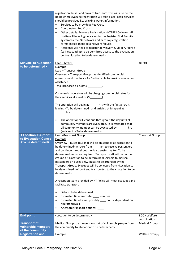|                                                                               | registration, buses and onward transport. This will also be the<br>point where evacuee registration will take place. Basic services<br>should be provided i.e. drinking water, information.<br>Services to be provided: Red Cross<br>$\bullet$<br><b>Coordinator: Red Cross</b><br>$\bullet$<br>Other details: Evacuee Registration - NTPFES College staff<br>٠<br>onsite will have log on access to the Register. Find. Reunite<br>system via the 3G network and hard copy registration<br>forms should there be a network failure.<br>Residents will need to register at Minyerri Club or Airport if<br>$\bullet$<br>(self-evacuating) to be permitted access to the evacuation<br>centre <location be="" determined="" to=""></location>                                                                                                                                                                                                                                                                                                                                                                                                   |                               |
|-------------------------------------------------------------------------------|-----------------------------------------------------------------------------------------------------------------------------------------------------------------------------------------------------------------------------------------------------------------------------------------------------------------------------------------------------------------------------------------------------------------------------------------------------------------------------------------------------------------------------------------------------------------------------------------------------------------------------------------------------------------------------------------------------------------------------------------------------------------------------------------------------------------------------------------------------------------------------------------------------------------------------------------------------------------------------------------------------------------------------------------------------------------------------------------------------------------------------------------------|-------------------------------|
| <b>Minyerri to <location< b=""><br/>to be determined&gt;</location<></b>      | Lead - NTPOL<br><b>Example</b><br>Lead - Transport Group<br>Overview - Transport Group has identified commercial<br>operators and the Police Air Section able to provide evacuation<br>assistance.<br>Total proposed air assets: _________.<br>Commercial operators will be charging commercial rates for<br>their services at a cost of $(\xi$ ____________.<br>The operation will begin at _______ hrs with the first aircraft,<br>leaving <to be="" determined=""> and arriving at Minyerri at<br/>hrs.<br/>The operation will continue throughout the day until all<br/><math display="inline">\bullet</math></to>                                                                                                                                                                                                                                                                                                                                                                                                                                                                                                                        | <b>NTPOL</b>                  |
|                                                                               | community members are evacuated. It is estimated that<br>all community member can be evacuated by _______hrs<br>(arriving in <to be="" determined="">).</to>                                                                                                                                                                                                                                                                                                                                                                                                                                                                                                                                                                                                                                                                                                                                                                                                                                                                                                                                                                                  |                               |
| < Location > Airport<br>to Evacuation Centre<br><to be="" determined=""></to> | <b>Lead - Transport Group</b><br><b>Example</b><br>Overview - Buses (Buslink) will be on standby at <location to<br="">be determined&gt; Airport from ______ am to receive passengers<br/>and continue throughout the day transferring to <to be<br="">determined&gt; only, as required. Transport staff will be on the<br/>ground at <location be="" determined="" to=""> Airport to marshal<br/>passengers on buses only. Buses to be arranged by the<br/>Transport Group. Evacuees will be collected from <location to<br="">be determined&gt; Airport and transported to the <location be<br="" to="">determined&gt;.<br/>A reception team provided by NT Police will meet evacuees and<br/>facilitate transport.<br/>Details: to be determined<br/><math display="inline">\bullet</math><br/>Estimated time en-route: ____ minutes<br/><math display="inline">\bullet</math><br/>Estimated timeframe: possibly ____ hours, dependant on<br/><math display="inline">\bullet</math><br/>aircraft arrivals.<br/>Alternate transport options: ___<br/><math display="inline">\bullet</math></location></location></location></to></location> | <b>Transport Group</b>        |
| <b>End point</b>                                                              | <location be="" determined="" to=""></location>                                                                                                                                                                                                                                                                                                                                                                                                                                                                                                                                                                                                                                                                                                                                                                                                                                                                                                                                                                                                                                                                                               | EOC / Welfare<br>coordination |
| <b>Transport of</b>                                                           | Medical Group to arrange transport of vulnerable people from                                                                                                                                                                                                                                                                                                                                                                                                                                                                                                                                                                                                                                                                                                                                                                                                                                                                                                                                                                                                                                                                                  | <b>Medical Group</b>          |
| vulnerable members<br>of the community                                        | the community to <location be="" determined="" to="">.</location>                                                                                                                                                                                                                                                                                                                                                                                                                                                                                                                                                                                                                                                                                                                                                                                                                                                                                                                                                                                                                                                                             |                               |
| <b>Registration and</b>                                                       | Example                                                                                                                                                                                                                                                                                                                                                                                                                                                                                                                                                                                                                                                                                                                                                                                                                                                                                                                                                                                                                                                                                                                                       | Welfare Group /               |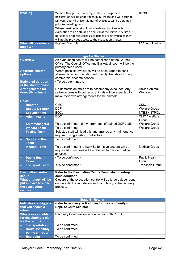| tracking                        | Welfare Group to activate registration arrangements.<br>Registration will be undertaken by NT Police and will occur at<br>Minyerri Council office. Names of evacuees will be obtained<br>prior to boarding buses.<br>Where possible details of individuals and families self-<br>evacuating to be obtained on arrival at the Minyerri Airstrip. If<br>persons are not registered as evacuees or self-evacuees they | <b>NTPOL</b>      |
|---------------------------------|--------------------------------------------------------------------------------------------------------------------------------------------------------------------------------------------------------------------------------------------------------------------------------------------------------------------------------------------------------------------------------------------------------------------|-------------------|
|                                 | will not be provided access to the evacuation shelter.                                                                                                                                                                                                                                                                                                                                                             |                   |
| Who will coordinate<br>stage 3? | Regional Controller.                                                                                                                                                                                                                                                                                                                                                                                               | EOC coordination. |

|                                                                             | <b>Stage 4 - Shelter</b>                                                                                                                                      |                                 |
|-----------------------------------------------------------------------------|---------------------------------------------------------------------------------------------------------------------------------------------------------------|---------------------------------|
| <b>Overview</b>                                                             | An evacuation centre will be established at the Council<br>Office. The Council Office and Basketball court will be the<br>primary areas used.                 |                                 |
| <b>Alternate shelter</b><br>options.                                        | Where possible evacuees will be encouraged to seek<br>alternative accommodation with family, friends or through<br>commercial accommodation.                  |                                 |
| <b>Estimated duration</b><br>of the shelter phase                           | <to be="" determined="">.</to>                                                                                                                                |                                 |
| <b>Arrangements for</b><br>domestic animals                                 | No domestic animals are to accompany evacuees. Any<br>self-evacuees with domestic animals will be expected to<br>make their own arrangements for the animals. | <b>Advise Animal</b><br>Welfare |
| <b>Roles</b>                                                                |                                                                                                                                                               |                                 |
| <b>Director</b><br>$\bullet$                                                | CMC                                                                                                                                                           | <b>CMC</b>                      |
| <b>Deputy Director</b><br>$\bullet$                                         | <b>DCF</b>                                                                                                                                                    | <b>Welfare Group</b>            |
| Log./planning<br>$\bullet$                                                  | EOC.                                                                                                                                                          | NTES / NTPOL                    |
| <b>Admin teams</b><br>$\bullet$                                             | EOC                                                                                                                                                           | CMC / Welfare<br>Group          |
| <b>Shift manager/s</b><br>$\bullet$                                         | To be confirmed - drawn from pool of trained DCF staff.                                                                                                       | <b>Welfare Group</b>            |
| <b>Welfare Team</b><br>$\bullet$                                            | To be confirmed                                                                                                                                               | <b>Welfare Group</b>            |
| <b>Facility Team</b><br>$\bullet$                                           | Selected staff will lead this and arrange any maintenance<br>required using existing contractors.                                                             |                                 |
| <b>Sport and Rec</b><br>$\bullet$<br><b>Team</b>                            | To be confirmed                                                                                                                                               |                                 |
| <b>Medical Team</b>                                                         | To be confirmed. It is likely St Johns volunteers will be<br>requested. Evacuees will be referred to off-site medical<br>services.                            | <b>Medical Group</b>            |
| <b>Public Health</b><br>$\bullet$<br><b>Team</b>                            | <to be="" confirmed=""></to>                                                                                                                                  | <b>Public Health</b><br>Group   |
| <b>Transport Team</b><br>$\bullet$                                          | <to be="" confirmed=""></to>                                                                                                                                  | <b>Transport Group</b>          |
| <b>Evacuation centre</b><br>set-up                                          | Refer to the Evacuation Centre Template for set-up<br>considerations                                                                                          |                                 |
| What strategy will be<br>put in place to close<br>the evacuation<br>centre? | Closure of the evacuation centre will be largely dependent<br>on the extent of inundation and complexity of the recovery<br>process.                          |                                 |

| Stage 5 - Return                                               |                                                                                     |  |
|----------------------------------------------------------------|-------------------------------------------------------------------------------------|--|
| <b>Indicators or triggers</b><br>that will enable a<br>return  | (refer to recovery action plan for the community)<br><b>Dept. of Chief Minister</b> |  |
| Who is responsible<br>for developing a plan<br>for the return? | Recovery Coordination in conjunction with PFES.                                     |  |
| <b>Transportation</b>                                          | To be confirmed.                                                                    |  |
| <b>Route/assembly</b><br>$\bullet$<br>points en-route          | To be confirmed.                                                                    |  |
| <b>End point</b>                                               | To be confirmed.                                                                    |  |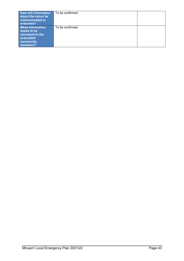| <b>How will information</b><br>about the return be<br>communicated to<br>evacuees?              | To be confirmed. |  |
|-------------------------------------------------------------------------------------------------|------------------|--|
| <b>What information</b><br>needs to be<br>conveyed to the<br>evacuated<br>community<br>members? | To be confirmed. |  |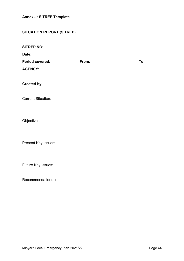<span id="page-43-0"></span>**Annex J: SITREP Template** 

## **SITUATION REPORT (SITREP)**

**SITREP NO:**

**Date:**

| <b>Period covered:</b> | From: | To: |
|------------------------|-------|-----|
| <b>AGENCY:</b>         |       |     |

**Created by:**

Current Situation:

Objectives:

Present Key Issues:

Future Key Issues:

Recommendation(s):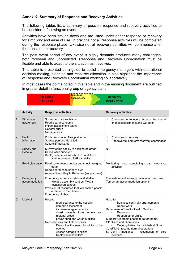#### <span id="page-44-0"></span>**Annex K: Summary of Response and Recovery Activities**

The following tables list a summary of possible response and recovery activities to be considered following an event.

Activities have been broken down and are listed under either response or recovery for simplicity and ease of use. In practice not all response activities will be completed during the response phase. Likewise not all recovery activities will commence after the transition to recovery.

The post event period of any event is highly dynamic produces many challenges, both foreseen and unpredicted. Response and Recovery Coordination must be flexible and able to adapt to the situation as it evolves.

This table is presented as a guide to assist emergency managers with operational decision making, planning and resource allocation. It also highlights the importance of Response and Recovery Coordination working collaboratively.

In most cases the points noted in this table and in the ensuing document are outlined in greater detail in functional group or agency plans.

| <b>Response</b>   | <b>Transitional</b> | <b>Recovery</b>   |
|-------------------|---------------------|-------------------|
| <b>PFES / EOC</b> | <b>Arrangements</b> | <b>DCM / TCCC</b> |

|                  | <b>Activity</b>            | <b>Response activities</b>                                                                                                                                                                                                                                                                                                                                                 | <b>Recovery activities</b>                                                                                                                                                                                                                                                                                                                                                                      |  |  |
|------------------|----------------------------|----------------------------------------------------------------------------------------------------------------------------------------------------------------------------------------------------------------------------------------------------------------------------------------------------------------------------------------------------------------------------|-------------------------------------------------------------------------------------------------------------------------------------------------------------------------------------------------------------------------------------------------------------------------------------------------------------------------------------------------------------------------------------------------|--|--|
| 1.               | Situational<br>awareness   | Survey and rescue teams<br>Road clearance teams<br>Impact assessment teams<br>General public<br>Media reports                                                                                                                                                                                                                                                              | Continues in recovery through the use of<br>□<br>impact assessments and Outreach                                                                                                                                                                                                                                                                                                                |  |  |
| 2.               | Public<br>Information      | Public Information Group stood up<br>Spokes persons identified<br>SecureNT activated                                                                                                                                                                                                                                                                                       | Continues in recovery<br>□<br>Handover to long term recovery coordination<br>$\Box$                                                                                                                                                                                                                                                                                                             |  |  |
| 3.               | Survey and<br>Rescue       | Survey teams deploy to designated areas<br>Critical sites surveyed<br>Deploy rescue teams - NTFRS and TRS<br>provide primary USAR capability                                                                                                                                                                                                                               | Nil                                                                                                                                                                                                                                                                                                                                                                                             |  |  |
| $\overline{4}$ . | Road clearance             | Road patrol teams deploy and check assigned<br>routes<br>Road clearance to priority sites<br>Assess Stuart Hwy to Katherine (supply route)                                                                                                                                                                                                                                 | Monitoring and completing road clearance<br>activities                                                                                                                                                                                                                                                                                                                                          |  |  |
| 5.               | Emergency<br>accommodation | Emergency accommodation and shelter<br>- welfare assembly centres (WAC)<br>- evacuation centres<br>Provision of resources that will enable people<br>to remain in their homes<br>Emergency clothing                                                                                                                                                                        | Evacuation centres may continue into recovery.<br>Temporary accommodation options                                                                                                                                                                                                                                                                                                               |  |  |
| 6.               | Medical                    | Hospital<br>road clearance to the hospital<br>damage assessment<br>$\blacksquare$<br>increase morgue capacity<br>$\blacksquare$<br>divert patients from remote<br>and<br>regional areas<br>power (fuel) and water supplies<br>Medical clinics and field hospitals<br>Determine the need for clinics to be<br>opened<br>Assess damage to clinics<br>Deploy field hospital/s | Hospital<br>Business continuity arrangements<br>$\blacksquare$<br>Repair work<br>$\blacksquare$<br>Department of Health- Health Centres<br>Repair work<br>Reopen other clinics<br>Support vulnerable people to return home.<br>GP clinics and pharmacies<br>Ongoing liaison by the Medical Group<br>CareFlight - resume normal operations<br>St John Ambulance - resumption of core<br>business |  |  |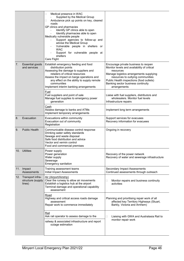|    |                                                     | Medical presence in WAC<br>□<br>Supplied by the Medical Group<br>Ambulance pick up points on key, cleared<br>□<br>roads<br>GP clinics and pharmacies<br>Identify GP clinics able to open<br>Identify pharmacies able to open<br>Medically vulnerable people<br>Support agencies to follow-up and<br>advise the Medical Group<br>Vulnerable people in shelters or<br><b>WAC</b><br>Support for vulnerable people at<br>shelters<br>Care Flight                                                                                                                                     |                                                                                                                          |
|----|-----------------------------------------------------|-----------------------------------------------------------------------------------------------------------------------------------------------------------------------------------------------------------------------------------------------------------------------------------------------------------------------------------------------------------------------------------------------------------------------------------------------------------------------------------------------------------------------------------------------------------------------------------|--------------------------------------------------------------------------------------------------------------------------|
| 7. | <b>Essential goods</b><br>and services              | Establish emergency feeding and food<br>Encourage private business to reopen<br>distribution points<br>Monitor levels and availability of critical<br>Assessing the damage to suppliers and<br>resources<br>retailers of critical resources<br>Manage logistics arrangements supplying<br>resources to outlying communities<br>Assess the impact on barge operations and<br>Public Health inspections (food outlets)<br>any effect on the ability to supply remote<br>communities<br>Banking sector business continuity<br>Implement interim banking arrangements<br>arrangements |                                                                                                                          |
|    |                                                     | Fuel<br>Fuel suppliers and point of sale<br>Manage fuel supplies to emergency power<br>generation                                                                                                                                                                                                                                                                                                                                                                                                                                                                                 | Liaise with fuel suppliers, distributors and<br>wholesalers. Monitor fuel levels<br>Infrastructure repairs               |
|    |                                                     | Cash<br>Assess damage to banks and ATMs<br>Implement temporary arrangements                                                                                                                                                                                                                                                                                                                                                                                                                                                                                                       | Implement long term arrangements                                                                                         |
| 8. | Evacuation                                          | Evacuations within community<br>Evacuation out of community<br>Registration                                                                                                                                                                                                                                                                                                                                                                                                                                                                                                       | Support services for evacuees<br>Recovery information for evacuees                                                       |
| 9. | <b>Public Health</b>                                | Communicable disease control response<br>Drinking water safety standards<br>Sewage and waste disposal<br>Safe food distribution and advice<br>Vector and vermin control<br>Food and commercial premises                                                                                                                                                                                                                                                                                                                                                                           | Ongoing in recovery                                                                                                      |
|    | 10. Utilities                                       | Power supply<br>Power generation<br>Water supply<br>Sewerage<br>Emergency sanitation                                                                                                                                                                                                                                                                                                                                                                                                                                                                                              | Recovery of the power network<br>Recovery of water and sewerage infrastructure                                           |
|    | 11. Impact<br>Assessments                           | Training assessment teams<br>Initial Impact Assessments                                                                                                                                                                                                                                                                                                                                                                                                                                                                                                                           | Secondary Impact Assessments<br>Continued assessments through outreach                                                   |
|    | 12. Transport infra-<br>structure (supply<br>lines) | Air (Airport/Airstrip)<br>Clear the runway to allow air movements<br>Establish a logistics hub at the airport<br>Terminal damage and operational capability<br>assessment                                                                                                                                                                                                                                                                                                                                                                                                         | Monitor repairs and business continuity<br>□<br>activities                                                               |
|    |                                                     | Road<br>Highway and critical access roads damage<br>assessment<br>Repair work to commence immediately                                                                                                                                                                                                                                                                                                                                                                                                                                                                             | Planning and prioritising repair work of all<br>affected key Territory Highways (Stuart,<br>Barkly, Victoria and Arnhem) |
|    |                                                     | Rail<br>Ask rail operator to assess damage to the<br>railway & associated infrastructure and report<br>outage estimation                                                                                                                                                                                                                                                                                                                                                                                                                                                          | $\Box$<br>Liaising with GWA and Australasia Rail to<br>monitor repair work                                               |
|    |                                                     |                                                                                                                                                                                                                                                                                                                                                                                                                                                                                                                                                                                   |                                                                                                                          |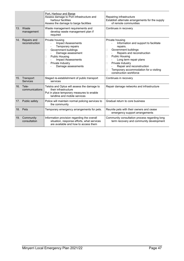|     |                               | Port, Harbour and Barge<br>Assess damage to Port infrastructure and<br>harbour facilities<br>Assess the damage to barge facilities                                                                                            | Repairing infrastructure<br>Establish alternate arrangements for the supply<br>of remote communities                                                                                                                                                                                                                   |  |
|-----|-------------------------------|-------------------------------------------------------------------------------------------------------------------------------------------------------------------------------------------------------------------------------|------------------------------------------------------------------------------------------------------------------------------------------------------------------------------------------------------------------------------------------------------------------------------------------------------------------------|--|
|     | 13. Waste<br>management       | Waste management requirements and<br>develop waste management plan if<br>required                                                                                                                                             | Continues in recovery                                                                                                                                                                                                                                                                                                  |  |
| 14. | Repairs and<br>reconstruction | Private housing<br><b>Impact Assessments</b><br>Temporary repairs<br>Government buildings<br>ш<br>Damage assessment<br><b>Public Housing</b><br>П<br><b>Impact Assessments</b><br>Private Industry<br>□<br>Damage assessments | Private housing<br>Information and support to facilitate<br>repairs.<br>Government buildings<br>Ш<br>Repairs and reconstruction<br><b>Public Housing</b><br>П<br>Long term repair plans<br>Private Industry<br>□<br>Repair and reconstruction<br>Temporary accommodation for a visiting<br>□<br>construction workforce |  |
| 15. | Transport<br><b>Services</b>  | Staged re-establishment of public transport<br>services                                                                                                                                                                       | Continues in recovery                                                                                                                                                                                                                                                                                                  |  |
|     | 16. Tele-<br>communications   | Telstra and Optus will assess the damage to<br>their infrastructure<br>Put in place temporary measures to enable<br>landline and mobile services                                                                              | Repair damage networks and infrastructure                                                                                                                                                                                                                                                                              |  |
|     | 17. Public safety             | Police will maintain normal policing services to<br>the community                                                                                                                                                             | Gradual return to core business                                                                                                                                                                                                                                                                                        |  |
|     | 18. Pets                      | Temporary emergency arrangements for pets.                                                                                                                                                                                    | Reunite pets with their owners and cease<br>emergency support arrangements                                                                                                                                                                                                                                             |  |
|     | 19. Community<br>consultation | Information provision regarding the overall<br>situation, response efforts, what services<br>are available and how to access them                                                                                             | Community consultation process regarding long<br>term recovery and community development                                                                                                                                                                                                                               |  |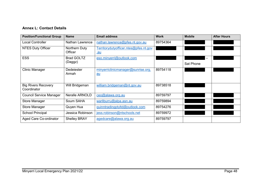### **Annex L: Contact Details**

<span id="page-47-0"></span>

| <b>Position/Functional Group</b>          | <b>Name</b>              | <b>Email address</b>                                | <b>Work</b> | <b>Mobile</b>     | <b>After Hours</b> |
|-------------------------------------------|--------------------------|-----------------------------------------------------|-------------|-------------------|--------------------|
| Local Controller                          | <b>Nathan Lawrence</b>   | nathan.lawrence@pfes.nt.gov.au                      | 89754364    |                   |                    |
| <b>NTES Duty Officer</b>                  | Northern Duty<br>Officer | Territorydutyofficer.ntes@pfes.nt.gov<br><u>.au</u> |             |                   |                    |
| <b>ESS</b>                                | <b>Brad GOLTZ</b>        | eso.minyerri@outlook.com                            |             | $\qquad \qquad -$ |                    |
|                                           | (Daggz)                  |                                                     |             | <b>Sat Phone</b>  |                    |
| <b>Clinic Manager</b>                     | Dedeiester<br>Armah      | minyerriclinicmanager@sunrise.org.                  | 89754118    |                   |                    |
|                                           |                          | $au$                                                |             |                   |                    |
|                                           |                          |                                                     |             |                   |                    |
| <b>Big Rivers Recovery</b><br>Coordinator | Will Bridgeman           | william.bridgeman@nt.gov.au                         | 89738518    |                   |                    |
| <b>Council Service Manager</b>            | Neralle ARNOLD           | ceo@alawa.org.au                                    | 89759797    |                   |                    |
| <b>Store Manager</b>                      | Soum SAHA                | warliburru@alpa.asn.au                              | 89759894    |                   |                    |
| Store Manager                             | Quyen Hua                | quinntradingptyltd@outlook.com                      | 89754276    |                   |                    |
| <b>School Principal</b>                   | Jessica Robinson         | jess.robinson@ntschools.net                         | 89759972    |                   |                    |
| Aged Care Co-ordinator                    | <b>Shelley BRAY</b>      | agedcare@alawa.org.au                               | 89759797    |                   |                    |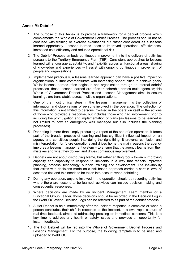#### <span id="page-48-0"></span>**Annex M: Debrief**

- 1. The purpose of this Annex is to provide a framework for a debrief process which complements the Whole of Government Debrief Process. The process should not be confused with training or exercise evaluations but rather considered as a lessons learned opportunity. Lessons learned leads to improved operational effectiveness, increased cost efficiency and reduced operational risk.
- 2. The Debrief Process embeds continuous improvement into the delivery of activities pursuant to the Territory Emergency Plan (TEP). Consistent approaches to lessons learned will encourage adaptability, and flexibility across all functional areas; sharing of knowledge and experiences will assist with ongoing continuous improvement of people and organisations.
- 3. Implemented judiciously, a lessons learned approach can have a positive impact on organisational culture commensurate with increasing opportunities to achieve goals. Whilst lessons learned often begins in one organisation through an internal debrief processes, those lessons learned are often transferable across multi-agencies; this Whole of Government Debrief Process and Lessons Management aims to ensure learnings are translatable across multiple organisations.
- 4. One of the most critical steps in the lessons management is the collection of information and observations of persons involved in the operation. The collection of this information is not limited to persons involved in the operation itself or the actions of those who provided a response, but includes those who had involvement prior to including the promulgation and implementation of plans (as lessons to be learned is not limited to how an emergency was managed but also includes the planning processes).
- 5. Debriefing is more than simply producing a report at the end of an operation. It forms part of the broader process of learning and has significant influential impact on an agency and sensitises people into doing the right thing. It prevents confusion and misinterpretation for future operations and drives home the main reasons the agency implores a lessons management system – to ensure that the agency learns from their mistakes and what they do well and drives continuous improvement.
- 6. Debriefs are not about distributing blame, but rather shifting focus towards improving capacity and capability to respond to incidents in a way that reflects improved planning, process, technology, support, training and development. The inevitability that exists with decisions made on a risk based approach carries a certain level of accepted risk and this needs to be taken into account when debriefing.
- 7. During any operation, anyone involved in the operation should be recording activities where there are lessons to be learned; activities can include decision making and consequential responses.
- 8. Where decisions are made by an Incident Management Team member or a Functional Group Leader, those decisions should be recorded in the Decision Log in the WebEOC event. Decision Logs can be referred to as part of the debrief process.
- 9. A Hot Debrief is held immediately after the incident response is complete or when a person concludes their shift in response to the incident. It allows rapid capture of real-time feedback aimed at addressing pressing or immediate concerns. This is a key time to address any health or safety issues and provides an opportunity for instant feedback.
- 10. The Hot Debrief will be fed into the Whole of Government Debrief Process and Lessons Management. For the purpose, the following template is to be used and uploaded to WebEOC.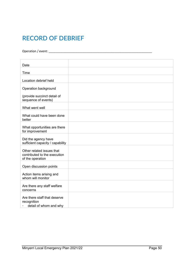## **RECORD OF DEBRIEF**

Operation / event: \_\_\_\_\_\_\_\_\_\_\_\_\_\_\_\_\_\_\_\_\_\_\_\_\_\_\_\_\_\_\_\_\_\_\_\_\_\_\_\_\_\_\_\_\_\_\_\_\_\_\_\_\_\_\_\_\_\_\_\_\_

| Date                                                                          |  |
|-------------------------------------------------------------------------------|--|
|                                                                               |  |
| Time                                                                          |  |
| Location debrief held                                                         |  |
| Operation background                                                          |  |
| (provide succinct detail of<br>sequence of events)                            |  |
| What went well                                                                |  |
| What could have been done<br>better                                           |  |
| What opportunities are there<br>for improvement                               |  |
| Did the agency have<br>sufficient capacity / capability                       |  |
| Other related issues that<br>contributed to the execution<br>of the operation |  |
| Open discussion points                                                        |  |
| Action items arising and<br>whom will monitor                                 |  |
| Are there any staff welfare<br>concerns                                       |  |
| Are there staff that deserve<br>recognition<br>detail of whom and why         |  |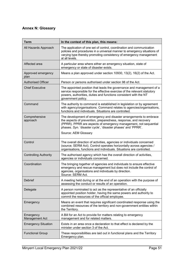## <span id="page-50-0"></span>**Annex N: Glossary**

| Term                         | In the context of this plan, this means:                                                                                                                                                                                                                                                         |
|------------------------------|--------------------------------------------------------------------------------------------------------------------------------------------------------------------------------------------------------------------------------------------------------------------------------------------------|
| All Hazards Approach         | The application of one set of control, coordination and communication<br>policies and procedures in a universal manner to emergency situations of<br>varying type thereby promoting consistency of emergency management<br>at all levels.                                                        |
| Affected area                | A particular area where either an emergency situation, state of<br>emergency or state of disaster exists.                                                                                                                                                                                        |
| Approved emergency<br>plan   | Means a plan approved under section 10930, 13(2), 16(2) of the Act.                                                                                                                                                                                                                              |
| <b>Authorised Officer</b>    | Person or persons authorised under section 98 of the Act.                                                                                                                                                                                                                                        |
| <b>Chief Executive</b>       | The appointed position that leads the governance and management of a<br>service responsible for the effective exercise of the relevant statutory<br>powers, authorities, duties and functions consistent with the NT<br>government policy.                                                       |
| Command                      | The authority to command is established in legislation or by agreement<br>with agency/organisations. Command relates to agencies/organisations,<br>functions and individuals. Situations are controlled.                                                                                         |
| Comprehensive<br>approach    | The development of emergency and disaster arrangements to embrace<br>the aspects of prevention, preparedness, response, and recovery<br>(PPRR). PPRR are aspects of emergency management, not sequential<br>phases. Syn. 'disaster cycle', 'disaster phases' and 'PPRR'.<br>Source: AEM Glossary |
| Control                      | The overall direction of activities, agencies or individuals concerned<br>(source; SERM Act). Control operates horizontally across agencies /<br>organisations, functions and individuals. Situations are controlled.                                                                            |
| <b>Controlling Authority</b> | The authorised agency which has the overall direction of activities,<br>agencies or individuals concerned.                                                                                                                                                                                       |
| Coordination                 | The bringing together of agencies and individuals to ensure effective<br>emergency and rescue management but does not include the control of<br>agencies, organisations and individuals by direction.<br>Source: SERM Act.                                                                       |
| Debrief                      | A meeting held during or at the end of an operation with the purpose of<br>assessing the conduct or results of an operation.                                                                                                                                                                     |
| Delegate                     | A person nominated to act as the representative of an officially<br>appointed position holder, having the same powers and authority to<br>commit the resources of the official employee.                                                                                                         |
| Emergency                    | Means an event that requires significant coordinated response using the<br>combined resources of the territory and non-government entities within<br>the Territory.                                                                                                                              |
| Emergency<br>Management Act  | A Bill for an Act to provide for matters relating to emergency<br>management and for related matters.                                                                                                                                                                                            |
| <b>Emergency Situation</b>   | Exists in an area once a declaration to that effect is declared by the<br>minister under section 3 of the Act.                                                                                                                                                                                   |
| <b>Functional Group</b>      | These responsibilities are laid out in functional plans and the Territory<br>Emergency plan.                                                                                                                                                                                                     |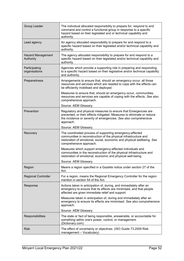| Group Leader                          | The individual allocated responsibility to prepare for, respond to and<br>command and control a functional group in response to a specific<br>hazard based on their legislated and or technical capability and<br>authority.      |
|---------------------------------------|-----------------------------------------------------------------------------------------------------------------------------------------------------------------------------------------------------------------------------------|
| Lead agency                           | An agency allocated responsibility to prepare for and respond to a<br>specific hazard based on their legislated and/or technical capability and<br>authority.                                                                     |
| <b>Hazard Management</b><br>Authority | The agency allocated responsibility to prepare for and respond to a<br>specific hazard based on their legislated and/or technical capability and<br>authority.                                                                    |
| Participating<br>organisations        | Agencies which provide a supporting role in preparing and responding<br>to a specific hazard based on their legislative and/or technical capability<br>and authority.                                                             |
| Preparedness                          | Arrangements to ensure that, should an emergency occur, all those<br>resources and services which are needed to cope with the effects can<br>be efficiently mobilised and deployed.                                               |
|                                       | Measures to ensure that, should an emergency occur, communities,<br>resources and services are capable of coping with the effects. See also<br>comprehensive approach.                                                            |
|                                       | Source: AEM Glossary.                                                                                                                                                                                                             |
| Prevention                            | Regulatory and physical measures to ensure that Emergencies are<br>prevented, or their effects mitigated. Measures to eliminate or reduce<br>the incidence or severity of emergencies. See also comprehensive<br>approach.        |
|                                       | Source: AEM Glossary.                                                                                                                                                                                                             |
| Recovery                              | The coordinated process of supporting emergency-affected<br>communities in reconstruction of the physical infrastructure and<br>restoration of emotional, social, economic and physical wellbeing. See<br>comprehensive approach. |
|                                       | Measures which support emergency-affected individuals and<br>communities in the reconstruction of the physical infrastructure and<br>restoration of emotional, economic and physical well-being.                                  |
|                                       | Source: AEM Glossary.                                                                                                                                                                                                             |
| Region                                | Means a region specified in a Gazette notice under section 27 of the<br>Act.                                                                                                                                                      |
| <b>Regional Controller</b>            | For a region, means the Regional Emergency Controller for the region<br>mention in section 54 of the Act.                                                                                                                         |
| Response                              | Actions taken in anticipation of, during, and immediately after an<br>emergency to ensure that its effects are minimised, and that people<br>affected are given immediate relief and support.                                     |
|                                       | Measures taken in anticipation of, during and immediately after an<br>emergency to ensure its effects are minimised. See also comprehensive<br>approach.                                                                          |
|                                       | Source: AEM Glossary.                                                                                                                                                                                                             |
| Responsibilities                      | The state or fact of being responsible, answerable, or accountable for<br>something within one's power, control, or management.<br>(Dictionary.com)                                                                               |
| <b>Risk</b>                           | The effect of uncertainty or objectives. (ISO Guide 73.2009 Risk<br>management - Vocabulary)                                                                                                                                      |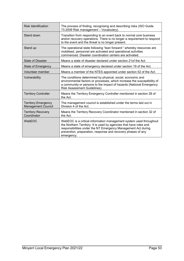| <b>Risk Identification</b>                              | The process of finding, recognising and describing risks (ISO Guide<br>73.2009 Risk management - Vocabulary).                                                                                                                                                                           |
|---------------------------------------------------------|-----------------------------------------------------------------------------------------------------------------------------------------------------------------------------------------------------------------------------------------------------------------------------------------|
| Stand down                                              | Transition from responding to an event back to normal core business<br>and/or recovery operations. There is no longer a requirement to respond<br>to the event and the threat is no longer present.                                                                                     |
| Stand up                                                | The operational state following "lean forward:" whereby resources are<br>mobilised, personnel are activated and operational activities<br>commenced. Disaster coordination centers are activated.                                                                                       |
| <b>State of Disaster</b>                                | Means a state of disaster declared under section 21 of the Act.                                                                                                                                                                                                                         |
| State of Emergency                                      | Means a state of emergency declared under section 19 of the Act.                                                                                                                                                                                                                        |
| Volunteer member                                        | Means a member of the NTES appointed under section 52 of the Act.                                                                                                                                                                                                                       |
| Vulnerability                                           | The conditions determined by physical, social, economic and<br>environmental factors or processes, which increase the susceptibility of<br>a community or persons to the impact of hazards (National Emergency<br><b>Risk Assessment Guidelines).</b>                                   |
| <b>Territory Controller</b>                             | Means the Territory Emergency Controller mentioned in section 28 of<br>the Act.                                                                                                                                                                                                         |
| <b>Territory Emergency</b><br><b>Management Council</b> | The management council is established under the terms laid out in<br>Division 4 of the Act.                                                                                                                                                                                             |
| <b>Territory Recovery</b><br>Coordinator                | Means the Territory Recovery Coordinator mentioned in section 32 of<br>the Act.                                                                                                                                                                                                         |
| WebEOC                                                  | WebEOC is a critical information management system used throughout<br>the Northern Territory. It is used by agencies that have roles and<br>responsibilities under the NT Emergency Management Act during<br>prevention, preparation, response and recovery phases of any<br>emergency. |